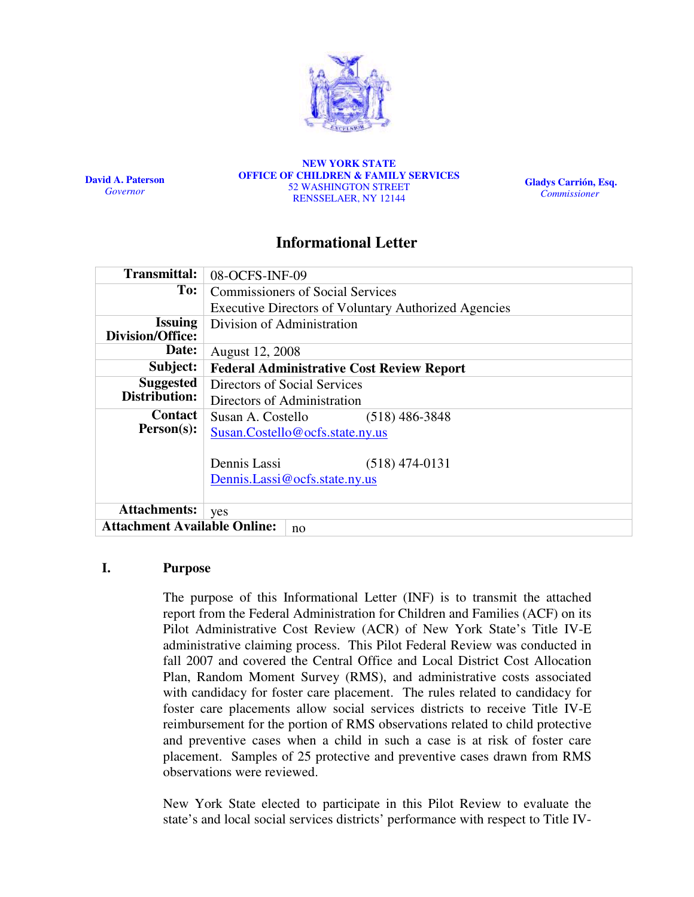

David A. Paterson Governor

NEW YORK STATE OFFICE OF CHILDREN & FAMILY SERVICES 52 WASHINGTON STREET RENSSELAER, NY 12144

Gladys Carrión, Esq. Commissioner

# Informational Letter

| <b>Transmittal:</b>                       | 08-OCFS-INF-09                                              |  |  |
|-------------------------------------------|-------------------------------------------------------------|--|--|
| To:                                       | <b>Commissioners of Social Services</b>                     |  |  |
|                                           | <b>Executive Directors of Voluntary Authorized Agencies</b> |  |  |
| <b>Issuing</b>                            | Division of Administration                                  |  |  |
| <b>Division/Office:</b>                   |                                                             |  |  |
| Date:                                     | August 12, 2008                                             |  |  |
| Subject:                                  | <b>Federal Administrative Cost Review Report</b>            |  |  |
| <b>Suggested</b>                          | Directors of Social Services                                |  |  |
| Distribution:                             | Directors of Administration                                 |  |  |
| Contact                                   | Susan A. Costello<br>$(518)$ 486-3848                       |  |  |
| $Person(s)$ :                             | Susan.Costello@ocfs.state.ny.us                             |  |  |
|                                           |                                                             |  |  |
|                                           | Dennis Lassi<br>$(518)$ 474-0131                            |  |  |
|                                           | Dennis.Lassi@ocfs.state.ny.us                               |  |  |
|                                           |                                                             |  |  |
| <b>Attachments:</b>                       | yes                                                         |  |  |
| <b>Attachment Available Online:</b><br>no |                                                             |  |  |

## I. Purpose

The purpose of this Informational Letter (INF) is to transmit the attached report from the Federal Administration for Children and Families (ACF) on its Pilot Administrative Cost Review (ACR) of New York State's Title IV-E administrative claiming process. This Pilot Federal Review was conducted in fall 2007 and covered the Central Office and Local District Cost Allocation Plan, Random Moment Survey (RMS), and administrative costs associated with candidacy for foster care placement. The rules related to candidacy for foster care placements allow social services districts to receive Title IV-E reimbursement for the portion of RMS observations related to child protective and preventive cases when a child in such a case is at risk of foster care placement. Samples of 25 protective and preventive cases drawn from RMS observations were reviewed.

New York State elected to participate in this Pilot Review to evaluate the state's and local social services districts' performance with respect to Title IV-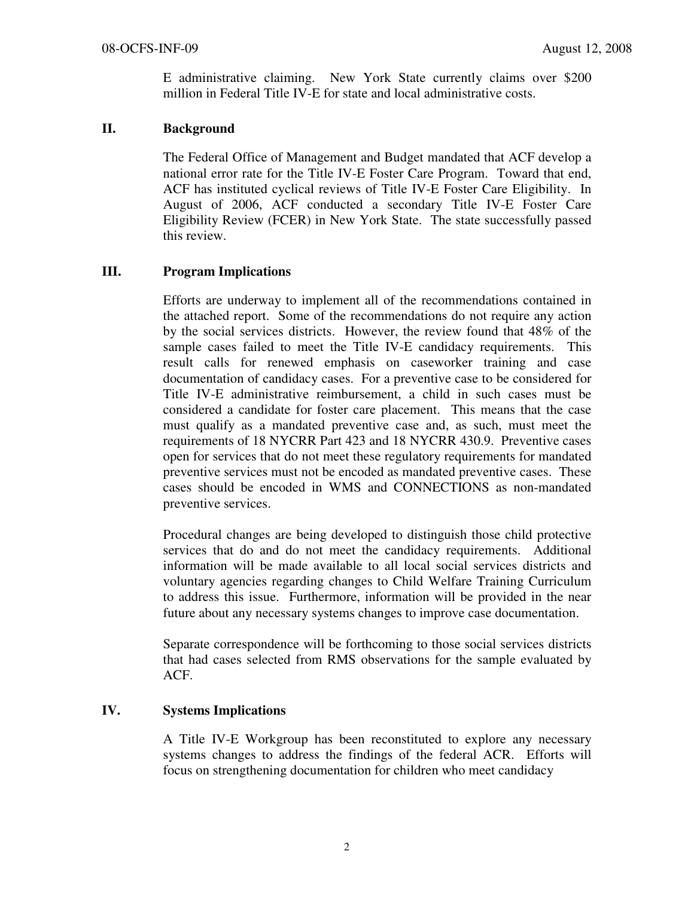E administrative claiming. New York State currently claims over \$200 million in Federal Title IV-E for state and local administrative costs.

## II. Background

The Federal Office of Management and Budget mandated that ACF develop a national error rate for the Title IV-E Foster Care Program. Toward that end, ACF has instituted cyclical reviews of Title IV-E Foster Care Eligibility. In August of 2006, ACF conducted a secondary Title IV-E Foster Care Eligibility Review (FCER) in New York State. The state successfully passed this review.

## III. Program Implications

Efforts are underway to implement all of the recommendations contained in the attached report. Some of the recommendations do not require any action by the social services districts. However, the review found that 48% of the sample cases failed to meet the Title IV-E candidacy requirements. This result calls for renewed emphasis on caseworker training and case documentation of candidacy cases. For a preventive case to be considered for Title IV-E administrative reimbursement, a child in such cases must be considered a candidate for foster care placement. This means that the case must qualify as a mandated preventive case and, as such, must meet the requirements of 18 NYCRR Part 423 and 18 NYCRR 430.9. Preventive cases open for services that do not meet these regulatory requirements for mandated preventive services must not be encoded as mandated preventive cases. These cases should be encoded in WMS and CONNECTIONS as non-mandated preventive services.

Procedural changes are being developed to distinguish those child protective services that do and do not meet the candidacy requirements. Additional information will be made available to all local social services districts and voluntary agencies regarding changes to Child Welfare Training Curriculum to address this issue. Furthermore, information will be provided in the near future about any necessary systems changes to improve case documentation.

Separate correspondence will be forthcoming to those social services districts that had cases selected from RMS observations for the sample evaluated by ACF.

## IV. Systems Implications

A Title IV-E Workgroup has been reconstituted to explore any necessary systems changes to address the findings of the federal ACR. Efforts will focus on strengthening documentation for children who meet candidacy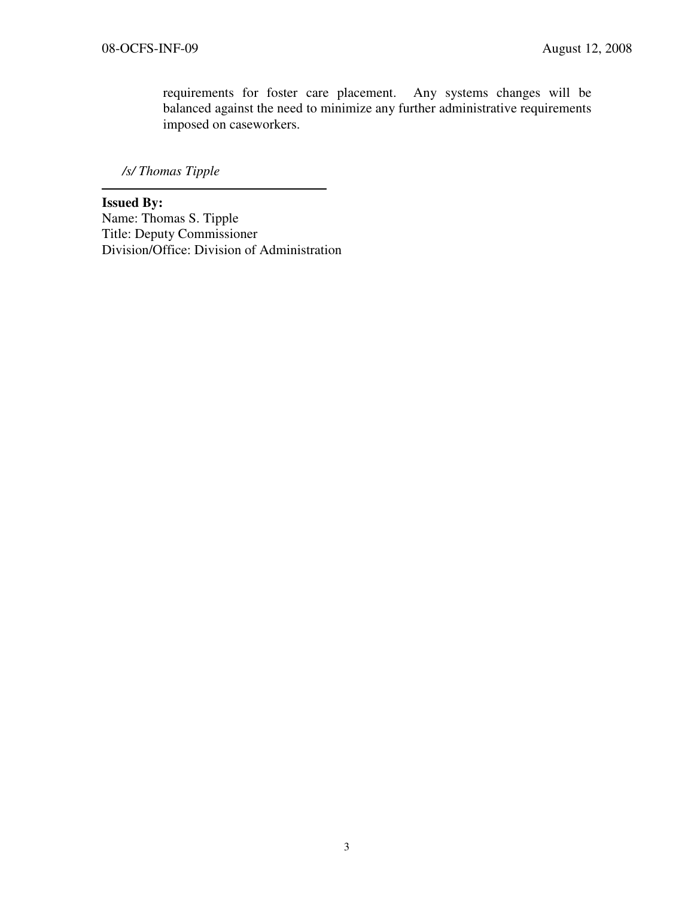requirements for foster care placement. Any systems changes will be balanced against the need to minimize any further administrative requirements imposed on caseworkers.

/s/ Thomas Tipple

Issued By: Name: Thomas S. Tipple Title: Deputy Commissioner Division/Office: Division of Administration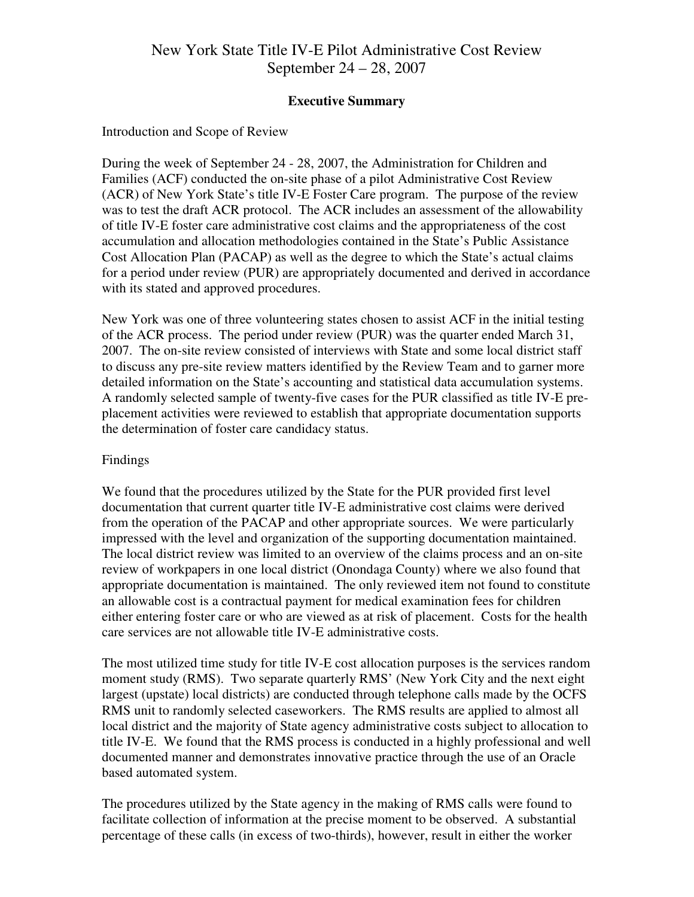# New York State Title IV-E Pilot Administrative Cost Review September 24 – 28, 2007

## Executive Summary

## Introduction and Scope of Review

During the week of September 24 - 28, 2007, the Administration for Children and Families (ACF) conducted the on-site phase of a pilot Administrative Cost Review (ACR) of New York State's title IV-E Foster Care program. The purpose of the review was to test the draft ACR protocol. The ACR includes an assessment of the allowability of title IV-E foster care administrative cost claims and the appropriateness of the cost accumulation and allocation methodologies contained in the State's Public Assistance Cost Allocation Plan (PACAP) as well as the degree to which the State's actual claims for a period under review (PUR) are appropriately documented and derived in accordance with its stated and approved procedures.

New York was one of three volunteering states chosen to assist ACF in the initial testing of the ACR process. The period under review (PUR) was the quarter ended March 31, 2007. The on-site review consisted of interviews with State and some local district staff to discuss any pre-site review matters identified by the Review Team and to garner more detailed information on the State's accounting and statistical data accumulation systems. A randomly selected sample of twenty-five cases for the PUR classified as title IV-E preplacement activities were reviewed to establish that appropriate documentation supports the determination of foster care candidacy status.

## Findings

We found that the procedures utilized by the State for the PUR provided first level documentation that current quarter title IV-E administrative cost claims were derived from the operation of the PACAP and other appropriate sources. We were particularly impressed with the level and organization of the supporting documentation maintained. The local district review was limited to an overview of the claims process and an on-site review of workpapers in one local district (Onondaga County) where we also found that appropriate documentation is maintained. The only reviewed item not found to constitute an allowable cost is a contractual payment for medical examination fees for children either entering foster care or who are viewed as at risk of placement. Costs for the health care services are not allowable title IV-E administrative costs.

The most utilized time study for title IV-E cost allocation purposes is the services random moment study (RMS). Two separate quarterly RMS' (New York City and the next eight largest (upstate) local districts) are conducted through telephone calls made by the OCFS RMS unit to randomly selected caseworkers. The RMS results are applied to almost all local district and the majority of State agency administrative costs subject to allocation to title IV-E. We found that the RMS process is conducted in a highly professional and well documented manner and demonstrates innovative practice through the use of an Oracle based automated system.

The procedures utilized by the State agency in the making of RMS calls were found to facilitate collection of information at the precise moment to be observed. A substantial percentage of these calls (in excess of two-thirds), however, result in either the worker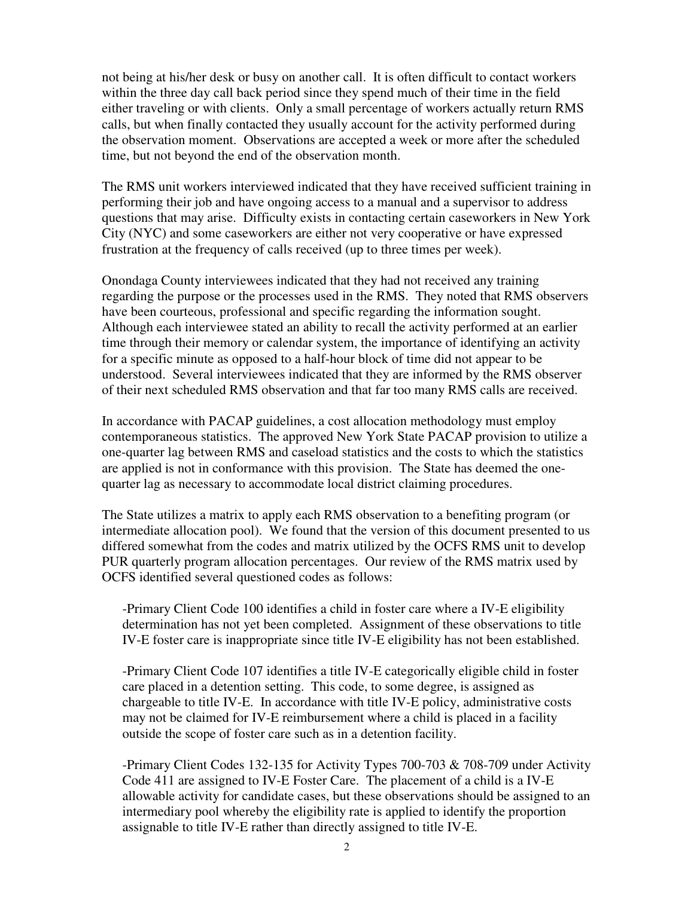not being at his/her desk or busy on another call. It is often difficult to contact workers within the three day call back period since they spend much of their time in the field either traveling or with clients. Only a small percentage of workers actually return RMS calls, but when finally contacted they usually account for the activity performed during the observation moment. Observations are accepted a week or more after the scheduled time, but not beyond the end of the observation month.

The RMS unit workers interviewed indicated that they have received sufficient training in performing their job and have ongoing access to a manual and a supervisor to address questions that may arise. Difficulty exists in contacting certain caseworkers in New York City (NYC) and some caseworkers are either not very cooperative or have expressed frustration at the frequency of calls received (up to three times per week).

Onondaga County interviewees indicated that they had not received any training regarding the purpose or the processes used in the RMS. They noted that RMS observers have been courteous, professional and specific regarding the information sought. Although each interviewee stated an ability to recall the activity performed at an earlier time through their memory or calendar system, the importance of identifying an activity for a specific minute as opposed to a half-hour block of time did not appear to be understood. Several interviewees indicated that they are informed by the RMS observer of their next scheduled RMS observation and that far too many RMS calls are received.

In accordance with PACAP guidelines, a cost allocation methodology must employ contemporaneous statistics. The approved New York State PACAP provision to utilize a one-quarter lag between RMS and caseload statistics and the costs to which the statistics are applied is not in conformance with this provision. The State has deemed the onequarter lag as necessary to accommodate local district claiming procedures.

The State utilizes a matrix to apply each RMS observation to a benefiting program (or intermediate allocation pool). We found that the version of this document presented to us differed somewhat from the codes and matrix utilized by the OCFS RMS unit to develop PUR quarterly program allocation percentages. Our review of the RMS matrix used by OCFS identified several questioned codes as follows:

-Primary Client Code 100 identifies a child in foster care where a IV-E eligibility determination has not yet been completed. Assignment of these observations to title IV-E foster care is inappropriate since title IV-E eligibility has not been established.

-Primary Client Code 107 identifies a title IV-E categorically eligible child in foster care placed in a detention setting. This code, to some degree, is assigned as chargeable to title IV-E. In accordance with title IV-E policy, administrative costs may not be claimed for IV-E reimbursement where a child is placed in a facility outside the scope of foster care such as in a detention facility.

-Primary Client Codes 132-135 for Activity Types 700-703 & 708-709 under Activity Code 411 are assigned to IV-E Foster Care. The placement of a child is a IV-E allowable activity for candidate cases, but these observations should be assigned to an intermediary pool whereby the eligibility rate is applied to identify the proportion assignable to title IV-E rather than directly assigned to title IV-E.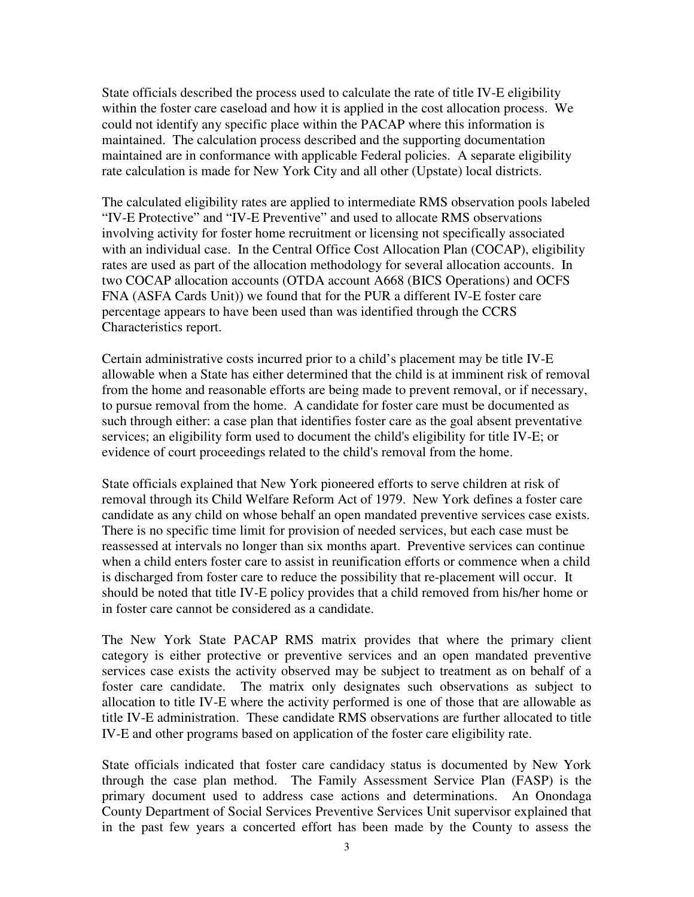State officials described the process used to calculate the rate of title IV-E eligibility within the foster care caseload and how it is applied in the cost allocation process. We could not identify any specific place within the PACAP where this information is maintained. The calculation process described and the supporting documentation maintained are in conformance with applicable Federal policies. A separate eligibility rate calculation is made for New York City and all other (Upstate) local districts.

The calculated eligibility rates are applied to intermediate RMS observation pools labeled "IV-E Protective" and "IV-E Preventive" and used to allocate RMS observations involving activity for foster home recruitment or licensing not specifically associated with an individual case. In the Central Office Cost Allocation Plan (COCAP), eligibility rates are used as part of the allocation methodology for several allocation accounts. In two COCAP allocation accounts (OTDA account A668 (BICS Operations) and OCFS FNA (ASFA Cards Unit)) we found that for the PUR a different IV-E foster care percentage appears to have been used than was identified through the CCRS Characteristics report.

Certain administrative costs incurred prior to a child's placement may be title IV-E allowable when a State has either determined that the child is at imminent risk of removal from the home and reasonable efforts are being made to prevent removal, or if necessary, to pursue removal from the home. A candidate for foster care must be documented as such through either: a case plan that identifies foster care as the goal absent preventative services; an eligibility form used to document the child's eligibility for title IV-E; or evidence of court proceedings related to the child's removal from the home.

State officials explained that New York pioneered efforts to serve children at risk of removal through its Child Welfare Reform Act of 1979. New York defines a foster care candidate as any child on whose behalf an open mandated preventive services case exists. There is no specific time limit for provision of needed services, but each case must be reassessed at intervals no longer than six months apart. Preventive services can continue when a child enters foster care to assist in reunification efforts or commence when a child is discharged from foster care to reduce the possibility that re-placement will occur. It should be noted that title IV-E policy provides that a child removed from his/her home or in foster care cannot be considered as a candidate.

The New York State PACAP RMS matrix provides that where the primary client category is either protective or preventive services and an open mandated preventive services case exists the activity observed may be subject to treatment as on behalf of a foster care candidate. The matrix only designates such observations as subject to allocation to title IV-E where the activity performed is one of those that are allowable as title IV-E administration. These candidate RMS observations are further allocated to title IV-E and other programs based on application of the foster care eligibility rate.

State officials indicated that foster care candidacy status is documented by New York through the case plan method. The Family Assessment Service Plan (FASP) is the primary document used to address case actions and determinations. An Onondaga County Department of Social Services Preventive Services Unit supervisor explained that in the past few years a concerted effort has been made by the County to assess the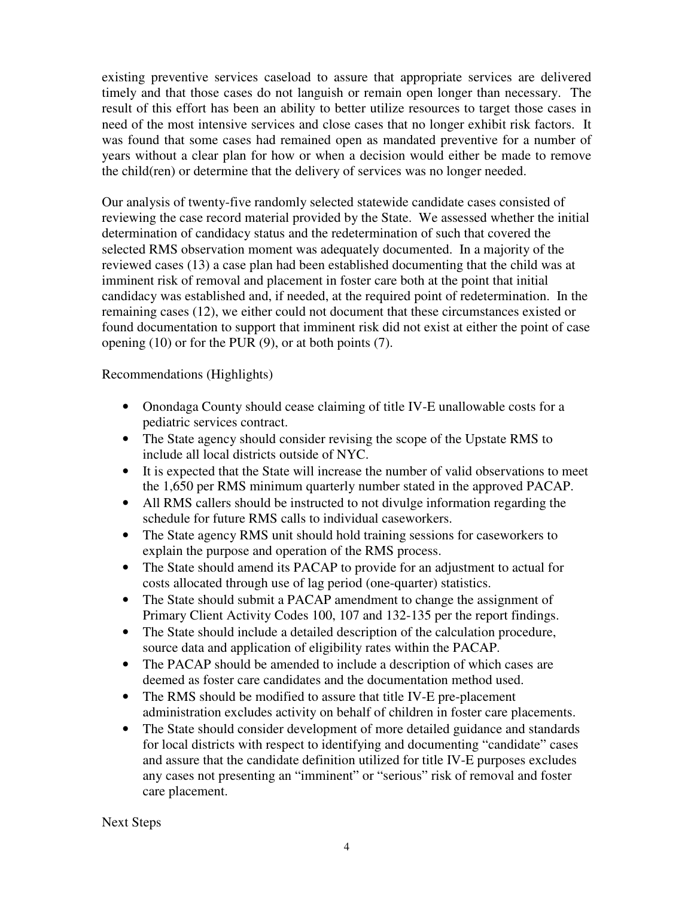existing preventive services caseload to assure that appropriate services are delivered timely and that those cases do not languish or remain open longer than necessary. The result of this effort has been an ability to better utilize resources to target those cases in need of the most intensive services and close cases that no longer exhibit risk factors. It was found that some cases had remained open as mandated preventive for a number of years without a clear plan for how or when a decision would either be made to remove the child(ren) or determine that the delivery of services was no longer needed.

Our analysis of twenty-five randomly selected statewide candidate cases consisted of reviewing the case record material provided by the State. We assessed whether the initial determination of candidacy status and the redetermination of such that covered the selected RMS observation moment was adequately documented. In a majority of the reviewed cases (13) a case plan had been established documenting that the child was at imminent risk of removal and placement in foster care both at the point that initial candidacy was established and, if needed, at the required point of redetermination. In the remaining cases (12), we either could not document that these circumstances existed or found documentation to support that imminent risk did not exist at either the point of case opening (10) or for the PUR (9), or at both points (7).

Recommendations (Highlights)

- Onondaga County should cease claiming of title IV-E unallowable costs for a pediatric services contract.
- The State agency should consider revising the scope of the Upstate RMS to include all local districts outside of NYC.
- It is expected that the State will increase the number of valid observations to meet the 1,650 per RMS minimum quarterly number stated in the approved PACAP.
- All RMS callers should be instructed to not divulge information regarding the schedule for future RMS calls to individual caseworkers.
- The State agency RMS unit should hold training sessions for caseworkers to explain the purpose and operation of the RMS process.
- The State should amend its PACAP to provide for an adjustment to actual for costs allocated through use of lag period (one-quarter) statistics.
- The State should submit a PACAP amendment to change the assignment of Primary Client Activity Codes 100, 107 and 132-135 per the report findings.
- The State should include a detailed description of the calculation procedure, source data and application of eligibility rates within the PACAP.
- The PACAP should be amended to include a description of which cases are deemed as foster care candidates and the documentation method used.
- The RMS should be modified to assure that title IV-E pre-placement administration excludes activity on behalf of children in foster care placements.
- The State should consider development of more detailed guidance and standards for local districts with respect to identifying and documenting "candidate" cases and assure that the candidate definition utilized for title IV-E purposes excludes any cases not presenting an "imminent" or "serious" risk of removal and foster care placement.

Next Steps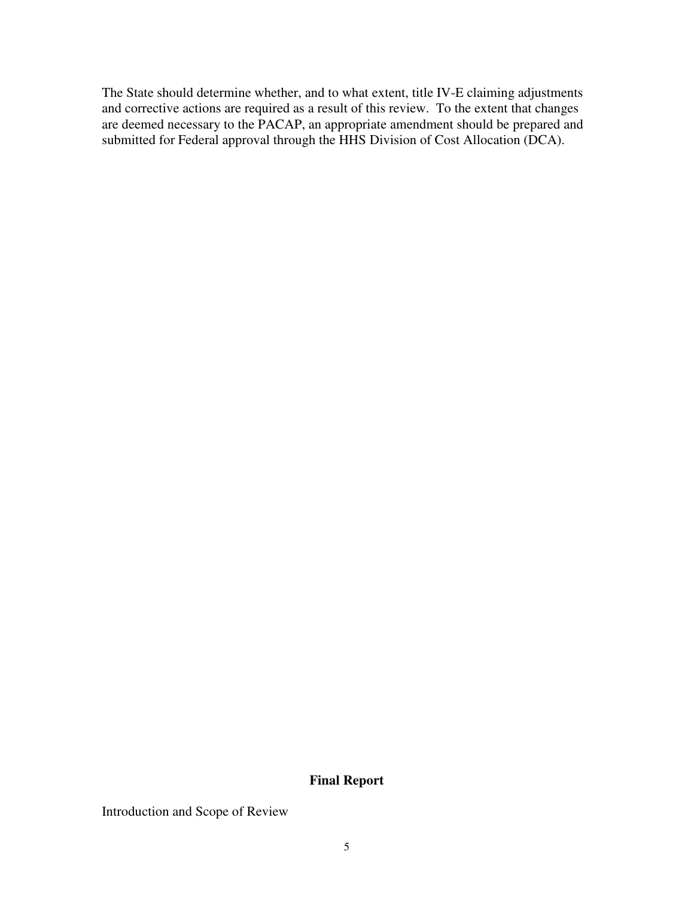The State should determine whether, and to what extent, title IV-E claiming adjustments and corrective actions are required as a result of this review. To the extent that changes are deemed necessary to the PACAP, an appropriate amendment should be prepared and submitted for Federal approval through the HHS Division of Cost Allocation (DCA).

## Final Report

Introduction and Scope of Review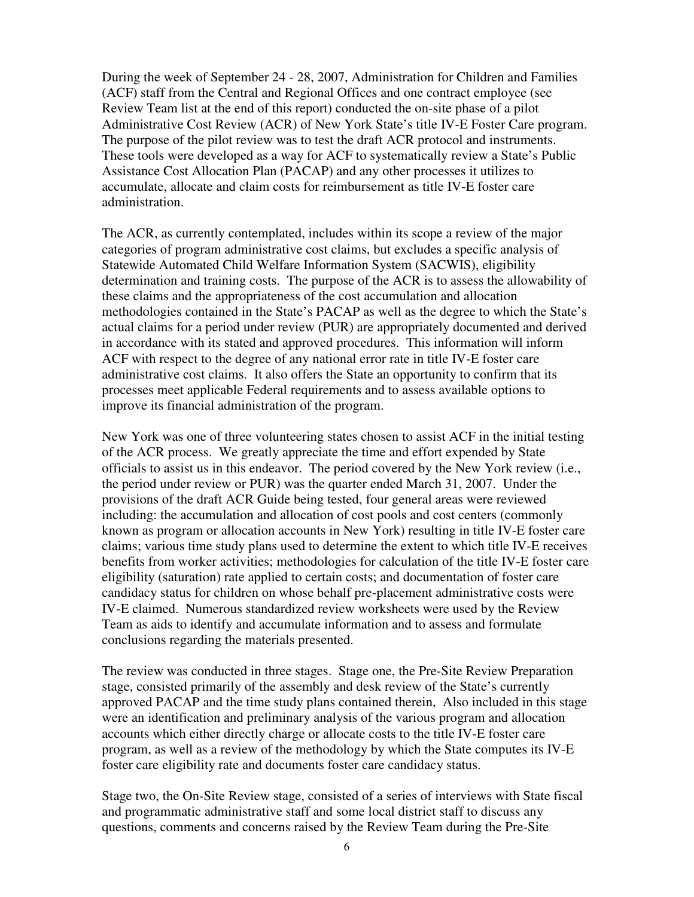During the week of September 24 - 28, 2007, Administration for Children and Families (ACF) staff from the Central and Regional Offices and one contract employee (see Review Team list at the end of this report) conducted the on-site phase of a pilot Administrative Cost Review (ACR) of New York State's title IV-E Foster Care program. The purpose of the pilot review was to test the draft ACR protocol and instruments. These tools were developed as a way for ACF to systematically review a State's Public Assistance Cost Allocation Plan (PACAP) and any other processes it utilizes to accumulate, allocate and claim costs for reimbursement as title IV-E foster care administration.

The ACR, as currently contemplated, includes within its scope a review of the major categories of program administrative cost claims, but excludes a specific analysis of Statewide Automated Child Welfare Information System (SACWIS), eligibility determination and training costs. The purpose of the ACR is to assess the allowability of these claims and the appropriateness of the cost accumulation and allocation methodologies contained in the State's PACAP as well as the degree to which the State's actual claims for a period under review (PUR) are appropriately documented and derived in accordance with its stated and approved procedures. This information will inform ACF with respect to the degree of any national error rate in title IV-E foster care administrative cost claims. It also offers the State an opportunity to confirm that its processes meet applicable Federal requirements and to assess available options to improve its financial administration of the program.

New York was one of three volunteering states chosen to assist ACF in the initial testing of the ACR process. We greatly appreciate the time and effort expended by State officials to assist us in this endeavor. The period covered by the New York review (i.e., the period under review or PUR) was the quarter ended March 31, 2007. Under the provisions of the draft ACR Guide being tested, four general areas were reviewed including: the accumulation and allocation of cost pools and cost centers (commonly known as program or allocation accounts in New York) resulting in title IV-E foster care claims; various time study plans used to determine the extent to which title IV-E receives benefits from worker activities; methodologies for calculation of the title IV-E foster care eligibility (saturation) rate applied to certain costs; and documentation of foster care candidacy status for children on whose behalf pre-placement administrative costs were IV-E claimed. Numerous standardized review worksheets were used by the Review Team as aids to identify and accumulate information and to assess and formulate conclusions regarding the materials presented.

The review was conducted in three stages. Stage one, the Pre-Site Review Preparation stage, consisted primarily of the assembly and desk review of the State's currently approved PACAP and the time study plans contained therein, Also included in this stage were an identification and preliminary analysis of the various program and allocation accounts which either directly charge or allocate costs to the title IV-E foster care program, as well as a review of the methodology by which the State computes its IV-E foster care eligibility rate and documents foster care candidacy status.

Stage two, the On-Site Review stage, consisted of a series of interviews with State fiscal and programmatic administrative staff and some local district staff to discuss any questions, comments and concerns raised by the Review Team during the Pre-Site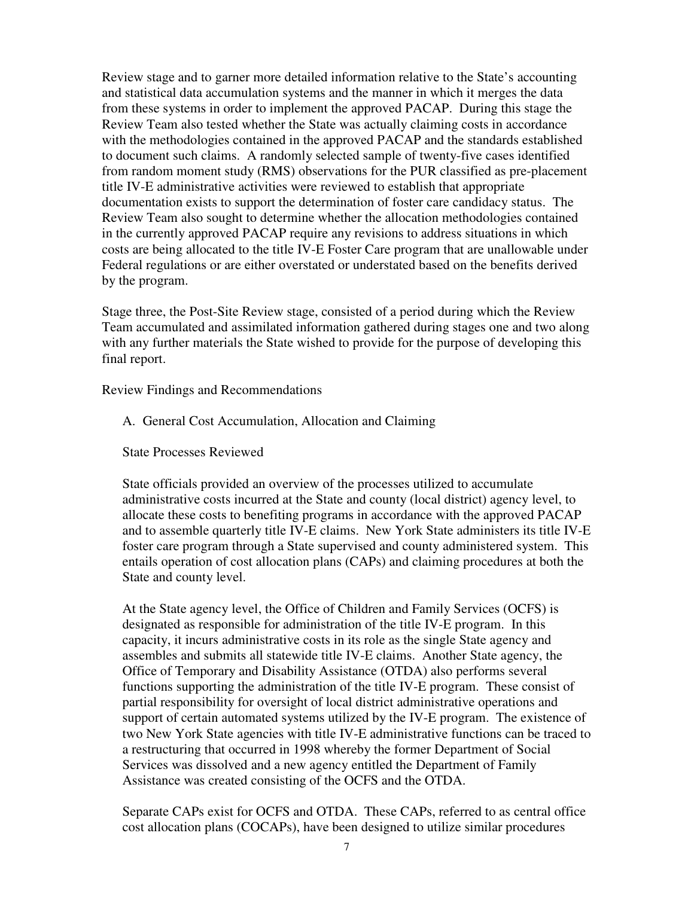Review stage and to garner more detailed information relative to the State's accounting and statistical data accumulation systems and the manner in which it merges the data from these systems in order to implement the approved PACAP. During this stage the Review Team also tested whether the State was actually claiming costs in accordance with the methodologies contained in the approved PACAP and the standards established to document such claims. A randomly selected sample of twenty-five cases identified from random moment study (RMS) observations for the PUR classified as pre-placement title IV-E administrative activities were reviewed to establish that appropriate documentation exists to support the determination of foster care candidacy status. The Review Team also sought to determine whether the allocation methodologies contained in the currently approved PACAP require any revisions to address situations in which costs are being allocated to the title IV-E Foster Care program that are unallowable under Federal regulations or are either overstated or understated based on the benefits derived by the program.

Stage three, the Post-Site Review stage, consisted of a period during which the Review Team accumulated and assimilated information gathered during stages one and two along with any further materials the State wished to provide for the purpose of developing this final report.

Review Findings and Recommendations

- A. General Cost Accumulation, Allocation and Claiming
- State Processes Reviewed

State officials provided an overview of the processes utilized to accumulate administrative costs incurred at the State and county (local district) agency level, to allocate these costs to benefiting programs in accordance with the approved PACAP and to assemble quarterly title IV-E claims. New York State administers its title IV-E foster care program through a State supervised and county administered system. This entails operation of cost allocation plans (CAPs) and claiming procedures at both the State and county level.

At the State agency level, the Office of Children and Family Services (OCFS) is designated as responsible for administration of the title IV-E program. In this capacity, it incurs administrative costs in its role as the single State agency and assembles and submits all statewide title IV-E claims. Another State agency, the Office of Temporary and Disability Assistance (OTDA) also performs several functions supporting the administration of the title IV-E program. These consist of partial responsibility for oversight of local district administrative operations and support of certain automated systems utilized by the IV-E program. The existence of two New York State agencies with title IV-E administrative functions can be traced to a restructuring that occurred in 1998 whereby the former Department of Social Services was dissolved and a new agency entitled the Department of Family Assistance was created consisting of the OCFS and the OTDA.

Separate CAPs exist for OCFS and OTDA. These CAPs, referred to as central office cost allocation plans (COCAPs), have been designed to utilize similar procedures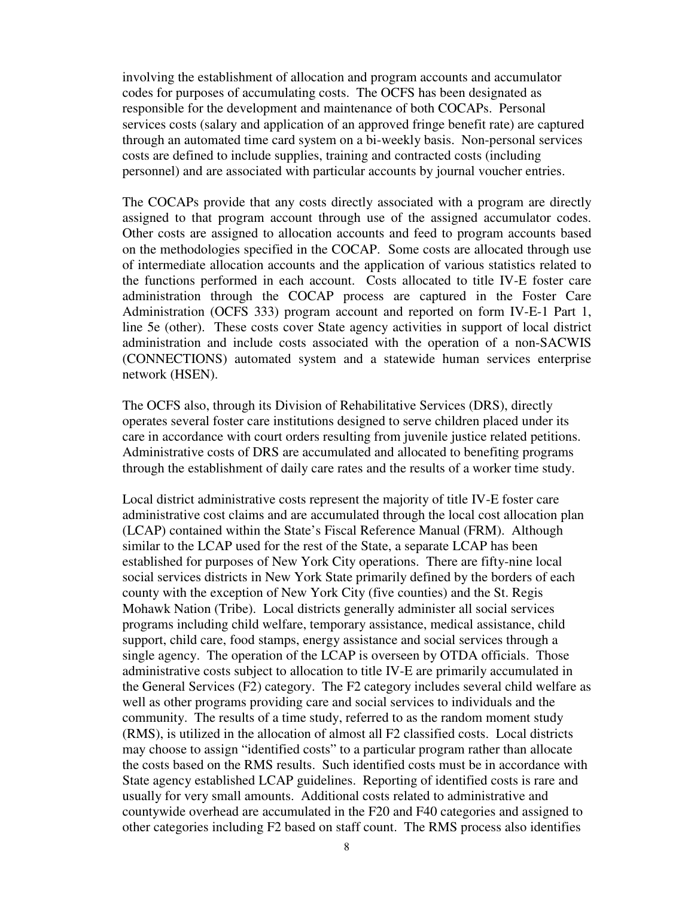involving the establishment of allocation and program accounts and accumulator codes for purposes of accumulating costs. The OCFS has been designated as responsible for the development and maintenance of both COCAPs. Personal services costs (salary and application of an approved fringe benefit rate) are captured through an automated time card system on a bi-weekly basis. Non-personal services costs are defined to include supplies, training and contracted costs (including personnel) and are associated with particular accounts by journal voucher entries.

The COCAPs provide that any costs directly associated with a program are directly assigned to that program account through use of the assigned accumulator codes. Other costs are assigned to allocation accounts and feed to program accounts based on the methodologies specified in the COCAP. Some costs are allocated through use of intermediate allocation accounts and the application of various statistics related to the functions performed in each account. Costs allocated to title IV-E foster care administration through the COCAP process are captured in the Foster Care Administration (OCFS 333) program account and reported on form IV-E-1 Part 1, line 5e (other). These costs cover State agency activities in support of local district administration and include costs associated with the operation of a non-SACWIS (CONNECTIONS) automated system and a statewide human services enterprise network (HSEN).

The OCFS also, through its Division of Rehabilitative Services (DRS), directly operates several foster care institutions designed to serve children placed under its care in accordance with court orders resulting from juvenile justice related petitions. Administrative costs of DRS are accumulated and allocated to benefiting programs through the establishment of daily care rates and the results of a worker time study.

Local district administrative costs represent the majority of title IV-E foster care administrative cost claims and are accumulated through the local cost allocation plan (LCAP) contained within the State's Fiscal Reference Manual (FRM). Although similar to the LCAP used for the rest of the State, a separate LCAP has been established for purposes of New York City operations. There are fifty-nine local social services districts in New York State primarily defined by the borders of each county with the exception of New York City (five counties) and the St. Regis Mohawk Nation (Tribe). Local districts generally administer all social services programs including child welfare, temporary assistance, medical assistance, child support, child care, food stamps, energy assistance and social services through a single agency. The operation of the LCAP is overseen by OTDA officials. Those administrative costs subject to allocation to title IV-E are primarily accumulated in the General Services (F2) category. The F2 category includes several child welfare as well as other programs providing care and social services to individuals and the community. The results of a time study, referred to as the random moment study (RMS), is utilized in the allocation of almost all F2 classified costs. Local districts may choose to assign "identified costs" to a particular program rather than allocate the costs based on the RMS results. Such identified costs must be in accordance with State agency established LCAP guidelines. Reporting of identified costs is rare and usually for very small amounts. Additional costs related to administrative and countywide overhead are accumulated in the F20 and F40 categories and assigned to other categories including F2 based on staff count. The RMS process also identifies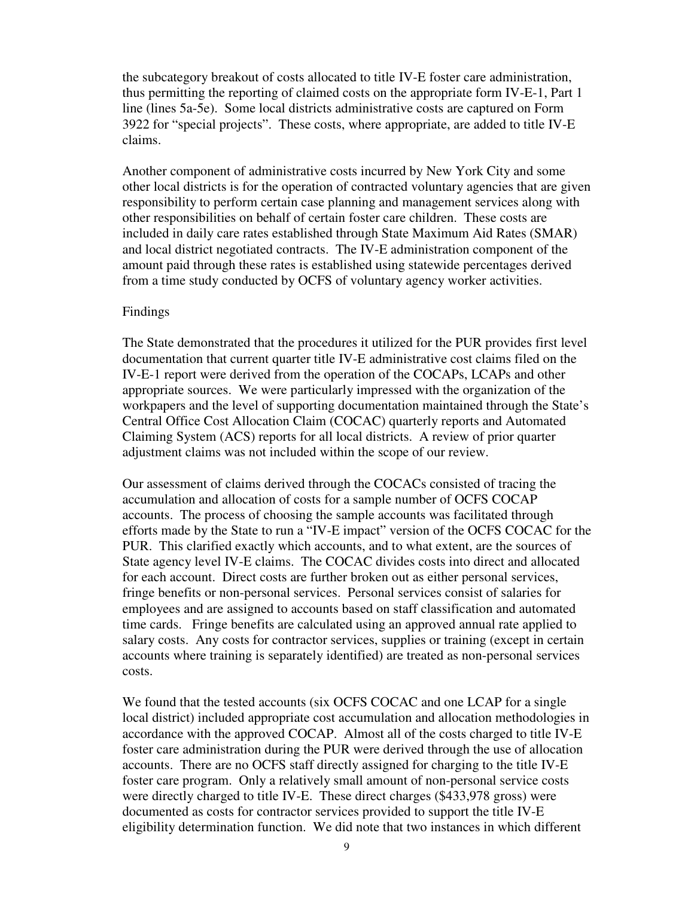the subcategory breakout of costs allocated to title IV-E foster care administration, thus permitting the reporting of claimed costs on the appropriate form IV-E-1, Part 1 line (lines 5a-5e). Some local districts administrative costs are captured on Form 3922 for "special projects". These costs, where appropriate, are added to title IV-E claims.

Another component of administrative costs incurred by New York City and some other local districts is for the operation of contracted voluntary agencies that are given responsibility to perform certain case planning and management services along with other responsibilities on behalf of certain foster care children. These costs are included in daily care rates established through State Maximum Aid Rates (SMAR) and local district negotiated contracts. The IV-E administration component of the amount paid through these rates is established using statewide percentages derived from a time study conducted by OCFS of voluntary agency worker activities.

### Findings

The State demonstrated that the procedures it utilized for the PUR provides first level documentation that current quarter title IV-E administrative cost claims filed on the IV-E-1 report were derived from the operation of the COCAPs, LCAPs and other appropriate sources. We were particularly impressed with the organization of the workpapers and the level of supporting documentation maintained through the State's Central Office Cost Allocation Claim (COCAC) quarterly reports and Automated Claiming System (ACS) reports for all local districts. A review of prior quarter adjustment claims was not included within the scope of our review.

Our assessment of claims derived through the COCACs consisted of tracing the accumulation and allocation of costs for a sample number of OCFS COCAP accounts. The process of choosing the sample accounts was facilitated through efforts made by the State to run a "IV-E impact" version of the OCFS COCAC for the PUR. This clarified exactly which accounts, and to what extent, are the sources of State agency level IV-E claims. The COCAC divides costs into direct and allocated for each account. Direct costs are further broken out as either personal services, fringe benefits or non-personal services. Personal services consist of salaries for employees and are assigned to accounts based on staff classification and automated time cards. Fringe benefits are calculated using an approved annual rate applied to salary costs. Any costs for contractor services, supplies or training (except in certain accounts where training is separately identified) are treated as non-personal services costs.

We found that the tested accounts (six OCFS COCAC and one LCAP for a single local district) included appropriate cost accumulation and allocation methodologies in accordance with the approved COCAP. Almost all of the costs charged to title IV-E foster care administration during the PUR were derived through the use of allocation accounts. There are no OCFS staff directly assigned for charging to the title IV-E foster care program. Only a relatively small amount of non-personal service costs were directly charged to title IV-E. These direct charges (\$433,978 gross) were documented as costs for contractor services provided to support the title IV-E eligibility determination function. We did note that two instances in which different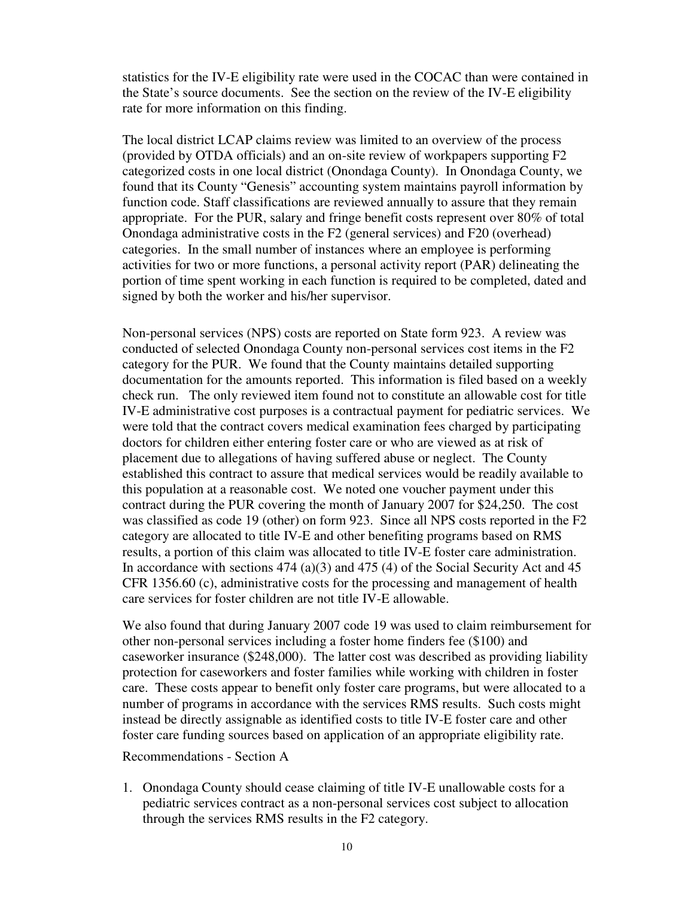statistics for the IV-E eligibility rate were used in the COCAC than were contained in the State's source documents. See the section on the review of the IV-E eligibility rate for more information on this finding.

The local district LCAP claims review was limited to an overview of the process (provided by OTDA officials) and an on-site review of workpapers supporting F2 categorized costs in one local district (Onondaga County). In Onondaga County, we found that its County "Genesis" accounting system maintains payroll information by function code. Staff classifications are reviewed annually to assure that they remain appropriate. For the PUR, salary and fringe benefit costs represent over 80% of total Onondaga administrative costs in the F2 (general services) and F20 (overhead) categories. In the small number of instances where an employee is performing activities for two or more functions, a personal activity report (PAR) delineating the portion of time spent working in each function is required to be completed, dated and signed by both the worker and his/her supervisor.

Non-personal services (NPS) costs are reported on State form 923. A review was conducted of selected Onondaga County non-personal services cost items in the F2 category for the PUR. We found that the County maintains detailed supporting documentation for the amounts reported. This information is filed based on a weekly check run. The only reviewed item found not to constitute an allowable cost for title IV-E administrative cost purposes is a contractual payment for pediatric services. We were told that the contract covers medical examination fees charged by participating doctors for children either entering foster care or who are viewed as at risk of placement due to allegations of having suffered abuse or neglect. The County established this contract to assure that medical services would be readily available to this population at a reasonable cost. We noted one voucher payment under this contract during the PUR covering the month of January 2007 for \$24,250. The cost was classified as code 19 (other) on form 923. Since all NPS costs reported in the F2 category are allocated to title IV-E and other benefiting programs based on RMS results, a portion of this claim was allocated to title IV-E foster care administration. In accordance with sections 474 (a)(3) and 475 (4) of the Social Security Act and 45 CFR 1356.60 (c), administrative costs for the processing and management of health care services for foster children are not title IV-E allowable.

We also found that during January 2007 code 19 was used to claim reimbursement for other non-personal services including a foster home finders fee (\$100) and caseworker insurance (\$248,000). The latter cost was described as providing liability protection for caseworkers and foster families while working with children in foster care. These costs appear to benefit only foster care programs, but were allocated to a number of programs in accordance with the services RMS results. Such costs might instead be directly assignable as identified costs to title IV-E foster care and other foster care funding sources based on application of an appropriate eligibility rate.

Recommendations - Section A

1. Onondaga County should cease claiming of title IV-E unallowable costs for a pediatric services contract as a non-personal services cost subject to allocation through the services RMS results in the F2 category.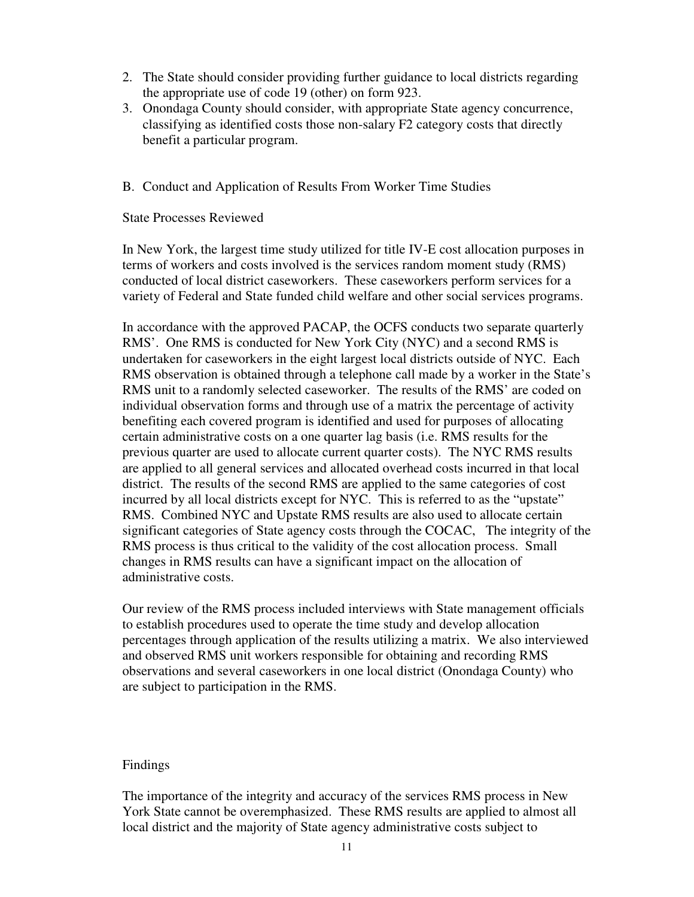- 2. The State should consider providing further guidance to local districts regarding the appropriate use of code 19 (other) on form 923.
- 3. Onondaga County should consider, with appropriate State agency concurrence, classifying as identified costs those non-salary F2 category costs that directly benefit a particular program.
- B. Conduct and Application of Results From Worker Time Studies

#### State Processes Reviewed

In New York, the largest time study utilized for title IV-E cost allocation purposes in terms of workers and costs involved is the services random moment study (RMS) conducted of local district caseworkers. These caseworkers perform services for a variety of Federal and State funded child welfare and other social services programs.

In accordance with the approved PACAP, the OCFS conducts two separate quarterly RMS'. One RMS is conducted for New York City (NYC) and a second RMS is undertaken for caseworkers in the eight largest local districts outside of NYC. Each RMS observation is obtained through a telephone call made by a worker in the State's RMS unit to a randomly selected caseworker. The results of the RMS' are coded on individual observation forms and through use of a matrix the percentage of activity benefiting each covered program is identified and used for purposes of allocating certain administrative costs on a one quarter lag basis (i.e. RMS results for the previous quarter are used to allocate current quarter costs). The NYC RMS results are applied to all general services and allocated overhead costs incurred in that local district. The results of the second RMS are applied to the same categories of cost incurred by all local districts except for NYC. This is referred to as the "upstate" RMS. Combined NYC and Upstate RMS results are also used to allocate certain significant categories of State agency costs through the COCAC, The integrity of the RMS process is thus critical to the validity of the cost allocation process. Small changes in RMS results can have a significant impact on the allocation of administrative costs.

Our review of the RMS process included interviews with State management officials to establish procedures used to operate the time study and develop allocation percentages through application of the results utilizing a matrix. We also interviewed and observed RMS unit workers responsible for obtaining and recording RMS observations and several caseworkers in one local district (Onondaga County) who are subject to participation in the RMS.

#### Findings

The importance of the integrity and accuracy of the services RMS process in New York State cannot be overemphasized. These RMS results are applied to almost all local district and the majority of State agency administrative costs subject to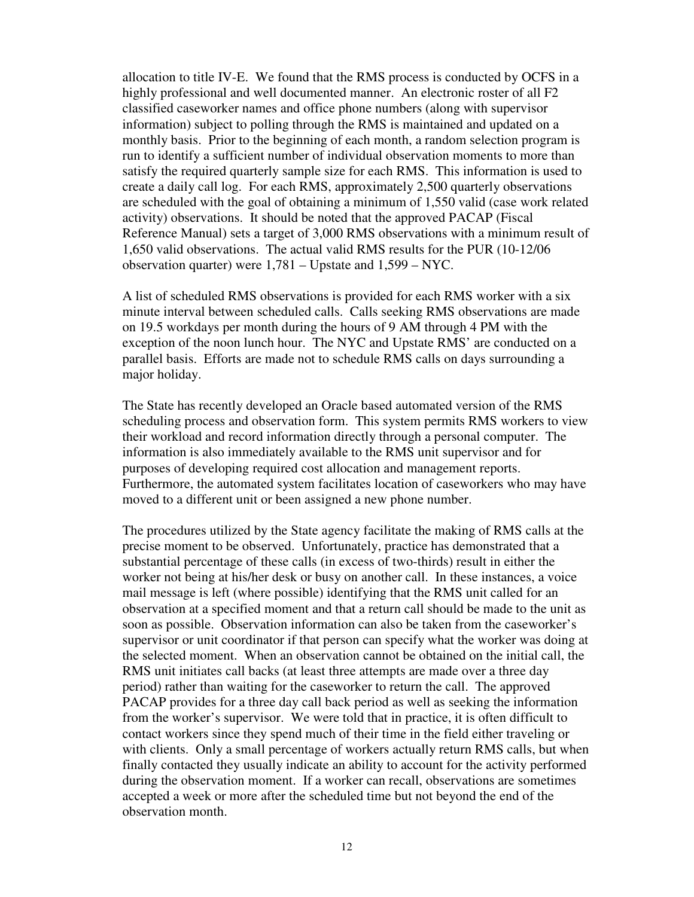allocation to title IV-E. We found that the RMS process is conducted by OCFS in a highly professional and well documented manner. An electronic roster of all F2 classified caseworker names and office phone numbers (along with supervisor information) subject to polling through the RMS is maintained and updated on a monthly basis. Prior to the beginning of each month, a random selection program is run to identify a sufficient number of individual observation moments to more than satisfy the required quarterly sample size for each RMS. This information is used to create a daily call log. For each RMS, approximately 2,500 quarterly observations are scheduled with the goal of obtaining a minimum of 1,550 valid (case work related activity) observations. It should be noted that the approved PACAP (Fiscal Reference Manual) sets a target of 3,000 RMS observations with a minimum result of 1,650 valid observations. The actual valid RMS results for the PUR (10-12/06 observation quarter) were 1,781 – Upstate and 1,599 – NYC.

A list of scheduled RMS observations is provided for each RMS worker with a six minute interval between scheduled calls. Calls seeking RMS observations are made on 19.5 workdays per month during the hours of 9 AM through 4 PM with the exception of the noon lunch hour. The NYC and Upstate RMS' are conducted on a parallel basis. Efforts are made not to schedule RMS calls on days surrounding a major holiday.

The State has recently developed an Oracle based automated version of the RMS scheduling process and observation form. This system permits RMS workers to view their workload and record information directly through a personal computer. The information is also immediately available to the RMS unit supervisor and for purposes of developing required cost allocation and management reports. Furthermore, the automated system facilitates location of caseworkers who may have moved to a different unit or been assigned a new phone number.

The procedures utilized by the State agency facilitate the making of RMS calls at the precise moment to be observed. Unfortunately, practice has demonstrated that a substantial percentage of these calls (in excess of two-thirds) result in either the worker not being at his/her desk or busy on another call. In these instances, a voice mail message is left (where possible) identifying that the RMS unit called for an observation at a specified moment and that a return call should be made to the unit as soon as possible. Observation information can also be taken from the caseworker's supervisor or unit coordinator if that person can specify what the worker was doing at the selected moment. When an observation cannot be obtained on the initial call, the RMS unit initiates call backs (at least three attempts are made over a three day period) rather than waiting for the caseworker to return the call. The approved PACAP provides for a three day call back period as well as seeking the information from the worker's supervisor. We were told that in practice, it is often difficult to contact workers since they spend much of their time in the field either traveling or with clients. Only a small percentage of workers actually return RMS calls, but when finally contacted they usually indicate an ability to account for the activity performed during the observation moment. If a worker can recall, observations are sometimes accepted a week or more after the scheduled time but not beyond the end of the observation month.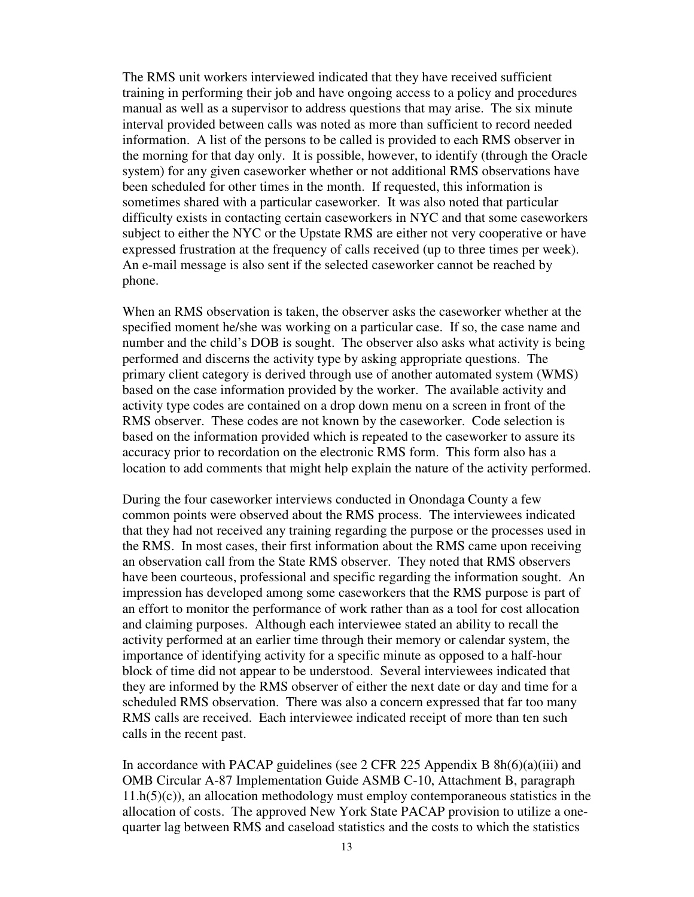The RMS unit workers interviewed indicated that they have received sufficient training in performing their job and have ongoing access to a policy and procedures manual as well as a supervisor to address questions that may arise. The six minute interval provided between calls was noted as more than sufficient to record needed information. A list of the persons to be called is provided to each RMS observer in the morning for that day only. It is possible, however, to identify (through the Oracle system) for any given caseworker whether or not additional RMS observations have been scheduled for other times in the month. If requested, this information is sometimes shared with a particular caseworker. It was also noted that particular difficulty exists in contacting certain caseworkers in NYC and that some caseworkers subject to either the NYC or the Upstate RMS are either not very cooperative or have expressed frustration at the frequency of calls received (up to three times per week). An e-mail message is also sent if the selected caseworker cannot be reached by phone.

When an RMS observation is taken, the observer asks the caseworker whether at the specified moment he/she was working on a particular case. If so, the case name and number and the child's DOB is sought. The observer also asks what activity is being performed and discerns the activity type by asking appropriate questions. The primary client category is derived through use of another automated system (WMS) based on the case information provided by the worker. The available activity and activity type codes are contained on a drop down menu on a screen in front of the RMS observer. These codes are not known by the caseworker. Code selection is based on the information provided which is repeated to the caseworker to assure its accuracy prior to recordation on the electronic RMS form. This form also has a location to add comments that might help explain the nature of the activity performed.

During the four caseworker interviews conducted in Onondaga County a few common points were observed about the RMS process. The interviewees indicated that they had not received any training regarding the purpose or the processes used in the RMS. In most cases, their first information about the RMS came upon receiving an observation call from the State RMS observer. They noted that RMS observers have been courteous, professional and specific regarding the information sought. An impression has developed among some caseworkers that the RMS purpose is part of an effort to monitor the performance of work rather than as a tool for cost allocation and claiming purposes. Although each interviewee stated an ability to recall the activity performed at an earlier time through their memory or calendar system, the importance of identifying activity for a specific minute as opposed to a half-hour block of time did not appear to be understood. Several interviewees indicated that they are informed by the RMS observer of either the next date or day and time for a scheduled RMS observation. There was also a concern expressed that far too many RMS calls are received. Each interviewee indicated receipt of more than ten such calls in the recent past.

In accordance with PACAP guidelines (see 2 CFR 225 Appendix B 8h(6)(a)(iii) and OMB Circular A-87 Implementation Guide ASMB C-10, Attachment B, paragraph  $11.h(5)(c)$ , an allocation methodology must employ contemporaneous statistics in the allocation of costs. The approved New York State PACAP provision to utilize a onequarter lag between RMS and caseload statistics and the costs to which the statistics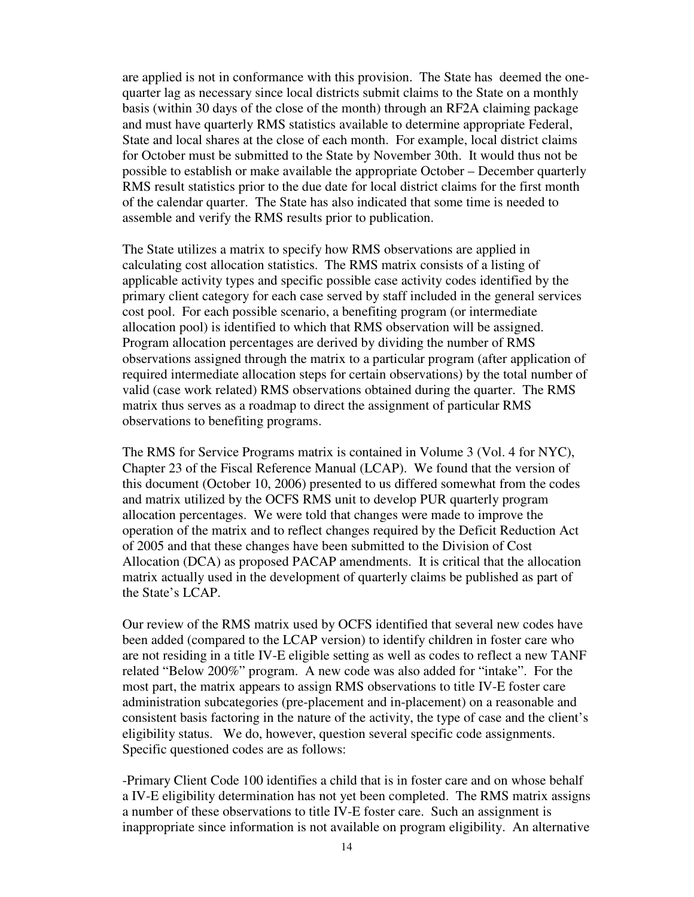are applied is not in conformance with this provision. The State has deemed the onequarter lag as necessary since local districts submit claims to the State on a monthly basis (within 30 days of the close of the month) through an RF2A claiming package and must have quarterly RMS statistics available to determine appropriate Federal, State and local shares at the close of each month. For example, local district claims for October must be submitted to the State by November 30th. It would thus not be possible to establish or make available the appropriate October – December quarterly RMS result statistics prior to the due date for local district claims for the first month of the calendar quarter. The State has also indicated that some time is needed to assemble and verify the RMS results prior to publication.

The State utilizes a matrix to specify how RMS observations are applied in calculating cost allocation statistics. The RMS matrix consists of a listing of applicable activity types and specific possible case activity codes identified by the primary client category for each case served by staff included in the general services cost pool. For each possible scenario, a benefiting program (or intermediate allocation pool) is identified to which that RMS observation will be assigned. Program allocation percentages are derived by dividing the number of RMS observations assigned through the matrix to a particular program (after application of required intermediate allocation steps for certain observations) by the total number of valid (case work related) RMS observations obtained during the quarter. The RMS matrix thus serves as a roadmap to direct the assignment of particular RMS observations to benefiting programs.

The RMS for Service Programs matrix is contained in Volume 3 (Vol. 4 for NYC), Chapter 23 of the Fiscal Reference Manual (LCAP). We found that the version of this document (October 10, 2006) presented to us differed somewhat from the codes and matrix utilized by the OCFS RMS unit to develop PUR quarterly program allocation percentages. We were told that changes were made to improve the operation of the matrix and to reflect changes required by the Deficit Reduction Act of 2005 and that these changes have been submitted to the Division of Cost Allocation (DCA) as proposed PACAP amendments. It is critical that the allocation matrix actually used in the development of quarterly claims be published as part of the State's LCAP.

Our review of the RMS matrix used by OCFS identified that several new codes have been added (compared to the LCAP version) to identify children in foster care who are not residing in a title IV-E eligible setting as well as codes to reflect a new TANF related "Below 200%" program. A new code was also added for "intake". For the most part, the matrix appears to assign RMS observations to title IV-E foster care administration subcategories (pre-placement and in-placement) on a reasonable and consistent basis factoring in the nature of the activity, the type of case and the client's eligibility status. We do, however, question several specific code assignments. Specific questioned codes are as follows:

-Primary Client Code 100 identifies a child that is in foster care and on whose behalf a IV-E eligibility determination has not yet been completed. The RMS matrix assigns a number of these observations to title IV-E foster care. Such an assignment is inappropriate since information is not available on program eligibility. An alternative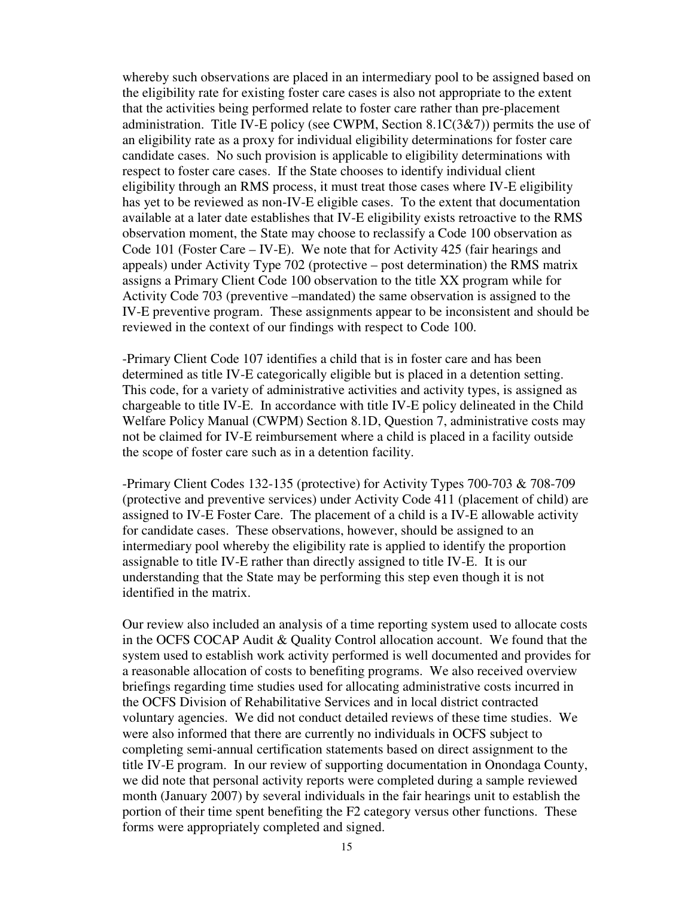whereby such observations are placed in an intermediary pool to be assigned based on the eligibility rate for existing foster care cases is also not appropriate to the extent that the activities being performed relate to foster care rather than pre-placement administration. Title IV-E policy (see CWPM, Section  $8.1C(3\&7)$ ) permits the use of an eligibility rate as a proxy for individual eligibility determinations for foster care candidate cases. No such provision is applicable to eligibility determinations with respect to foster care cases. If the State chooses to identify individual client eligibility through an RMS process, it must treat those cases where IV-E eligibility has yet to be reviewed as non-IV-E eligible cases. To the extent that documentation available at a later date establishes that IV-E eligibility exists retroactive to the RMS observation moment, the State may choose to reclassify a Code 100 observation as Code 101 (Foster Care – IV-E). We note that for Activity 425 (fair hearings and appeals) under Activity Type 702 (protective – post determination) the RMS matrix assigns a Primary Client Code 100 observation to the title XX program while for Activity Code 703 (preventive –mandated) the same observation is assigned to the IV-E preventive program. These assignments appear to be inconsistent and should be reviewed in the context of our findings with respect to Code 100.

-Primary Client Code 107 identifies a child that is in foster care and has been determined as title IV-E categorically eligible but is placed in a detention setting. This code, for a variety of administrative activities and activity types, is assigned as chargeable to title IV-E. In accordance with title IV-E policy delineated in the Child Welfare Policy Manual (CWPM) Section 8.1D, Question 7, administrative costs may not be claimed for IV-E reimbursement where a child is placed in a facility outside the scope of foster care such as in a detention facility.

-Primary Client Codes 132-135 (protective) for Activity Types 700-703 & 708-709 (protective and preventive services) under Activity Code 411 (placement of child) are assigned to IV-E Foster Care. The placement of a child is a IV-E allowable activity for candidate cases. These observations, however, should be assigned to an intermediary pool whereby the eligibility rate is applied to identify the proportion assignable to title IV-E rather than directly assigned to title IV-E. It is our understanding that the State may be performing this step even though it is not identified in the matrix.

Our review also included an analysis of a time reporting system used to allocate costs in the OCFS COCAP Audit & Quality Control allocation account. We found that the system used to establish work activity performed is well documented and provides for a reasonable allocation of costs to benefiting programs. We also received overview briefings regarding time studies used for allocating administrative costs incurred in the OCFS Division of Rehabilitative Services and in local district contracted voluntary agencies. We did not conduct detailed reviews of these time studies. We were also informed that there are currently no individuals in OCFS subject to completing semi-annual certification statements based on direct assignment to the title IV-E program. In our review of supporting documentation in Onondaga County, we did note that personal activity reports were completed during a sample reviewed month (January 2007) by several individuals in the fair hearings unit to establish the portion of their time spent benefiting the F2 category versus other functions. These forms were appropriately completed and signed.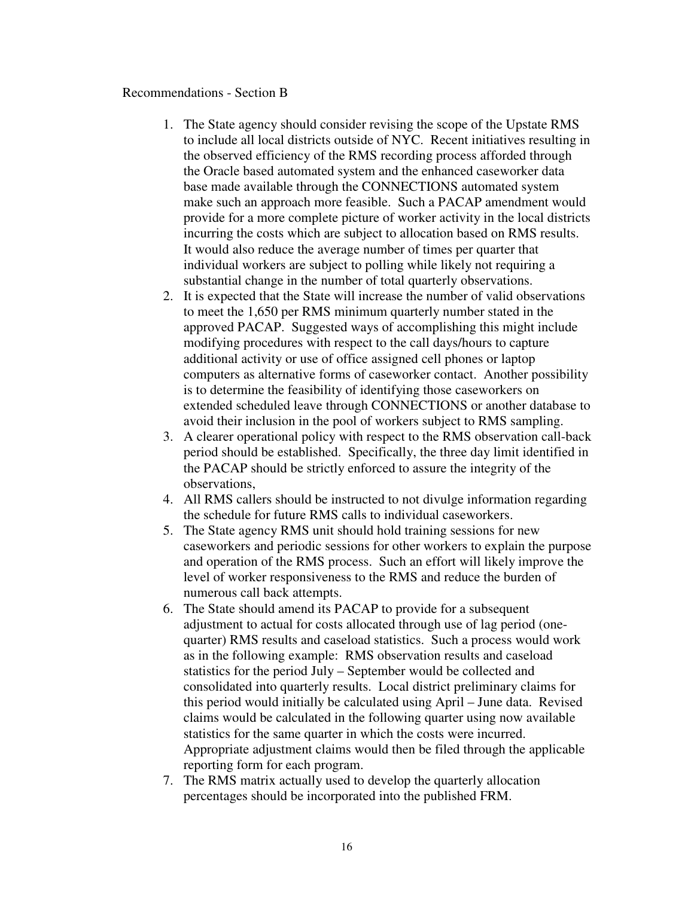### Recommendations - Section B

- 1. The State agency should consider revising the scope of the Upstate RMS to include all local districts outside of NYC. Recent initiatives resulting in the observed efficiency of the RMS recording process afforded through the Oracle based automated system and the enhanced caseworker data base made available through the CONNECTIONS automated system make such an approach more feasible. Such a PACAP amendment would provide for a more complete picture of worker activity in the local districts incurring the costs which are subject to allocation based on RMS results. It would also reduce the average number of times per quarter that individual workers are subject to polling while likely not requiring a substantial change in the number of total quarterly observations.
- 2. It is expected that the State will increase the number of valid observations to meet the 1,650 per RMS minimum quarterly number stated in the approved PACAP. Suggested ways of accomplishing this might include modifying procedures with respect to the call days/hours to capture additional activity or use of office assigned cell phones or laptop computers as alternative forms of caseworker contact. Another possibility is to determine the feasibility of identifying those caseworkers on extended scheduled leave through CONNECTIONS or another database to avoid their inclusion in the pool of workers subject to RMS sampling.
- 3. A clearer operational policy with respect to the RMS observation call-back period should be established. Specifically, the three day limit identified in the PACAP should be strictly enforced to assure the integrity of the observations,
- 4. All RMS callers should be instructed to not divulge information regarding the schedule for future RMS calls to individual caseworkers.
- 5. The State agency RMS unit should hold training sessions for new caseworkers and periodic sessions for other workers to explain the purpose and operation of the RMS process. Such an effort will likely improve the level of worker responsiveness to the RMS and reduce the burden of numerous call back attempts.
- 6. The State should amend its PACAP to provide for a subsequent adjustment to actual for costs allocated through use of lag period (onequarter) RMS results and caseload statistics. Such a process would work as in the following example: RMS observation results and caseload statistics for the period July – September would be collected and consolidated into quarterly results. Local district preliminary claims for this period would initially be calculated using April – June data. Revised claims would be calculated in the following quarter using now available statistics for the same quarter in which the costs were incurred. Appropriate adjustment claims would then be filed through the applicable reporting form for each program.
- 7. The RMS matrix actually used to develop the quarterly allocation percentages should be incorporated into the published FRM.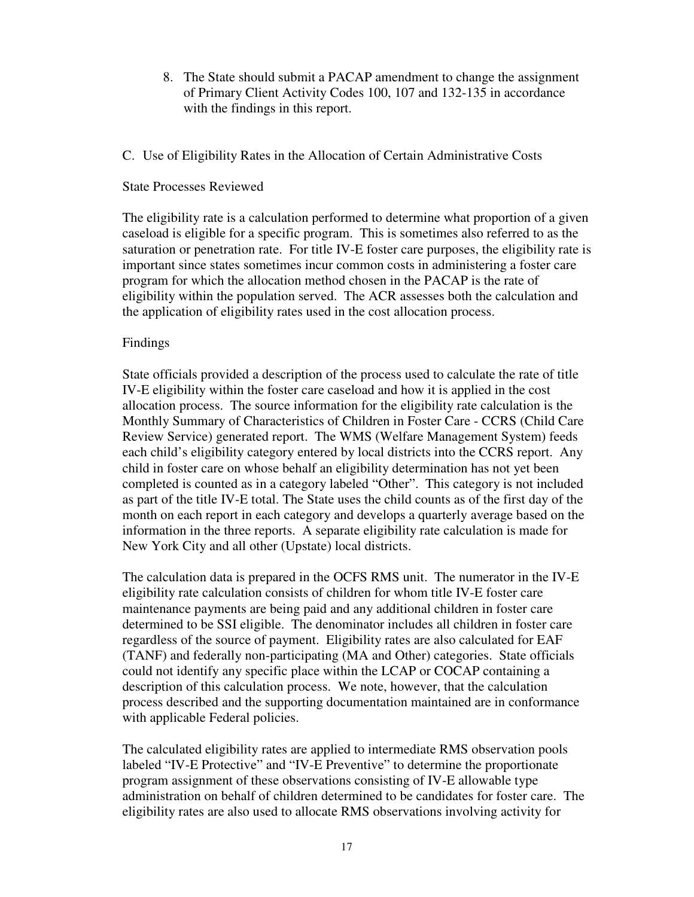- 8. The State should submit a PACAP amendment to change the assignment of Primary Client Activity Codes 100, 107 and 132-135 in accordance with the findings in this report.
- C. Use of Eligibility Rates in the Allocation of Certain Administrative Costs

## State Processes Reviewed

The eligibility rate is a calculation performed to determine what proportion of a given caseload is eligible for a specific program. This is sometimes also referred to as the saturation or penetration rate. For title IV-E foster care purposes, the eligibility rate is important since states sometimes incur common costs in administering a foster care program for which the allocation method chosen in the PACAP is the rate of eligibility within the population served. The ACR assesses both the calculation and the application of eligibility rates used in the cost allocation process.

## Findings

State officials provided a description of the process used to calculate the rate of title IV-E eligibility within the foster care caseload and how it is applied in the cost allocation process. The source information for the eligibility rate calculation is the Monthly Summary of Characteristics of Children in Foster Care - CCRS (Child Care Review Service) generated report. The WMS (Welfare Management System) feeds each child's eligibility category entered by local districts into the CCRS report. Any child in foster care on whose behalf an eligibility determination has not yet been completed is counted as in a category labeled "Other". This category is not included as part of the title IV-E total. The State uses the child counts as of the first day of the month on each report in each category and develops a quarterly average based on the information in the three reports. A separate eligibility rate calculation is made for New York City and all other (Upstate) local districts.

The calculation data is prepared in the OCFS RMS unit. The numerator in the IV-E eligibility rate calculation consists of children for whom title IV-E foster care maintenance payments are being paid and any additional children in foster care determined to be SSI eligible. The denominator includes all children in foster care regardless of the source of payment. Eligibility rates are also calculated for EAF (TANF) and federally non-participating (MA and Other) categories. State officials could not identify any specific place within the LCAP or COCAP containing a description of this calculation process. We note, however, that the calculation process described and the supporting documentation maintained are in conformance with applicable Federal policies.

The calculated eligibility rates are applied to intermediate RMS observation pools labeled "IV-E Protective" and "IV-E Preventive" to determine the proportionate program assignment of these observations consisting of IV-E allowable type administration on behalf of children determined to be candidates for foster care. The eligibility rates are also used to allocate RMS observations involving activity for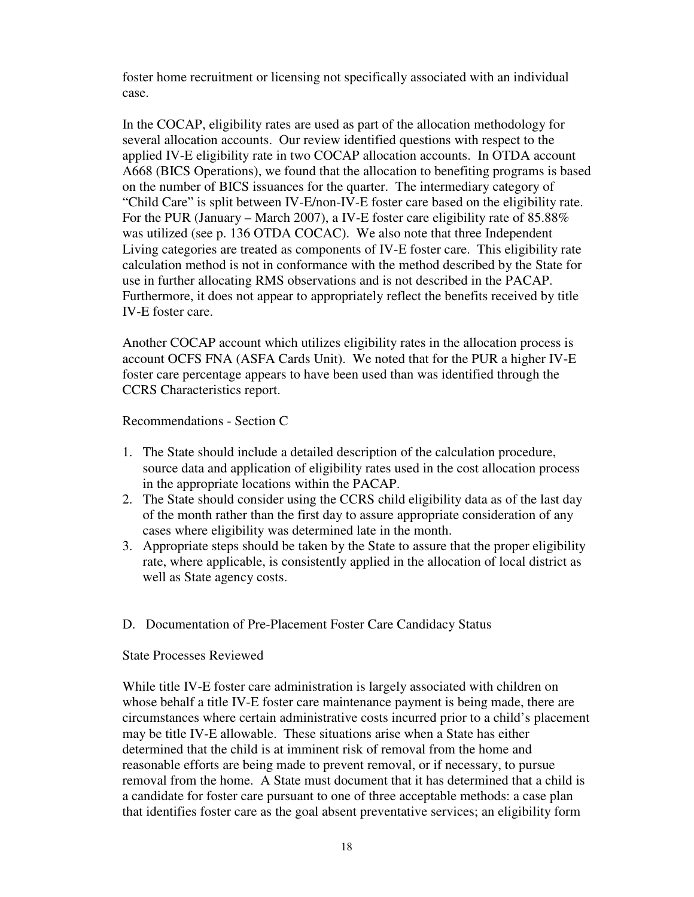foster home recruitment or licensing not specifically associated with an individual case.

In the COCAP, eligibility rates are used as part of the allocation methodology for several allocation accounts. Our review identified questions with respect to the applied IV-E eligibility rate in two COCAP allocation accounts. In OTDA account A668 (BICS Operations), we found that the allocation to benefiting programs is based on the number of BICS issuances for the quarter. The intermediary category of "Child Care" is split between IV-E/non-IV-E foster care based on the eligibility rate. For the PUR (January – March 2007), a IV-E foster care eligibility rate of 85.88% was utilized (see p. 136 OTDA COCAC). We also note that three Independent Living categories are treated as components of IV-E foster care. This eligibility rate calculation method is not in conformance with the method described by the State for use in further allocating RMS observations and is not described in the PACAP. Furthermore, it does not appear to appropriately reflect the benefits received by title IV-E foster care.

Another COCAP account which utilizes eligibility rates in the allocation process is account OCFS FNA (ASFA Cards Unit). We noted that for the PUR a higher IV-E foster care percentage appears to have been used than was identified through the CCRS Characteristics report.

Recommendations - Section C

- 1. The State should include a detailed description of the calculation procedure, source data and application of eligibility rates used in the cost allocation process in the appropriate locations within the PACAP.
- 2. The State should consider using the CCRS child eligibility data as of the last day of the month rather than the first day to assure appropriate consideration of any cases where eligibility was determined late in the month.
- 3. Appropriate steps should be taken by the State to assure that the proper eligibility rate, where applicable, is consistently applied in the allocation of local district as well as State agency costs.
- D. Documentation of Pre-Placement Foster Care Candidacy Status

State Processes Reviewed

While title IV-E foster care administration is largely associated with children on whose behalf a title IV-E foster care maintenance payment is being made, there are circumstances where certain administrative costs incurred prior to a child's placement may be title IV-E allowable. These situations arise when a State has either determined that the child is at imminent risk of removal from the home and reasonable efforts are being made to prevent removal, or if necessary, to pursue removal from the home. A State must document that it has determined that a child is a candidate for foster care pursuant to one of three acceptable methods: a case plan that identifies foster care as the goal absent preventative services; an eligibility form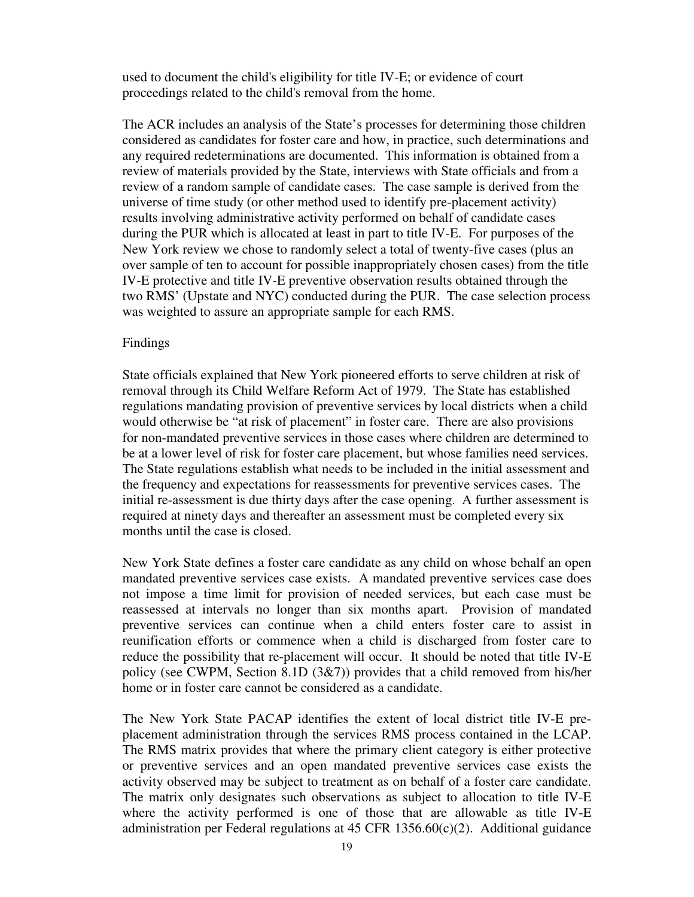used to document the child's eligibility for title IV-E; or evidence of court proceedings related to the child's removal from the home.

The ACR includes an analysis of the State's processes for determining those children considered as candidates for foster care and how, in practice, such determinations and any required redeterminations are documented. This information is obtained from a review of materials provided by the State, interviews with State officials and from a review of a random sample of candidate cases. The case sample is derived from the universe of time study (or other method used to identify pre-placement activity) results involving administrative activity performed on behalf of candidate cases during the PUR which is allocated at least in part to title IV-E. For purposes of the New York review we chose to randomly select a total of twenty-five cases (plus an over sample of ten to account for possible inappropriately chosen cases) from the title IV-E protective and title IV-E preventive observation results obtained through the two RMS' (Upstate and NYC) conducted during the PUR. The case selection process was weighted to assure an appropriate sample for each RMS.

### Findings

State officials explained that New York pioneered efforts to serve children at risk of removal through its Child Welfare Reform Act of 1979. The State has established regulations mandating provision of preventive services by local districts when a child would otherwise be "at risk of placement" in foster care. There are also provisions for non-mandated preventive services in those cases where children are determined to be at a lower level of risk for foster care placement, but whose families need services. The State regulations establish what needs to be included in the initial assessment and the frequency and expectations for reassessments for preventive services cases. The initial re-assessment is due thirty days after the case opening. A further assessment is required at ninety days and thereafter an assessment must be completed every six months until the case is closed.

New York State defines a foster care candidate as any child on whose behalf an open mandated preventive services case exists. A mandated preventive services case does not impose a time limit for provision of needed services, but each case must be reassessed at intervals no longer than six months apart. Provision of mandated preventive services can continue when a child enters foster care to assist in reunification efforts or commence when a child is discharged from foster care to reduce the possibility that re-placement will occur. It should be noted that title IV-E policy (see CWPM, Section 8.1D (3&7)) provides that a child removed from his/her home or in foster care cannot be considered as a candidate.

The New York State PACAP identifies the extent of local district title IV-E preplacement administration through the services RMS process contained in the LCAP. The RMS matrix provides that where the primary client category is either protective or preventive services and an open mandated preventive services case exists the activity observed may be subject to treatment as on behalf of a foster care candidate. The matrix only designates such observations as subject to allocation to title IV-E where the activity performed is one of those that are allowable as title IV-E administration per Federal regulations at  $45$  CFR  $1356.60(c)(2)$ . Additional guidance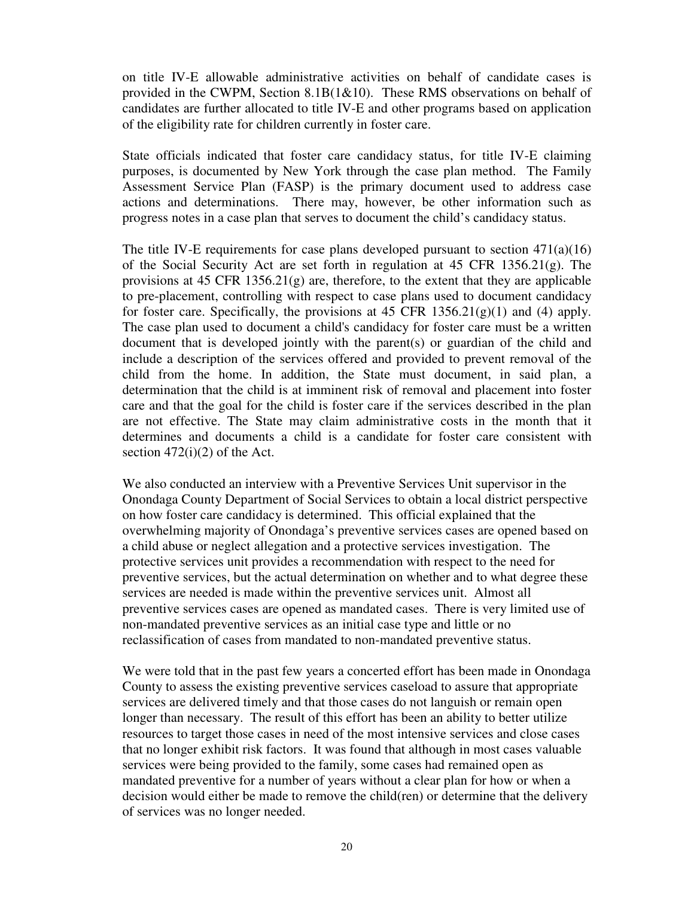on title IV-E allowable administrative activities on behalf of candidate cases is provided in the CWPM, Section 8.1B(1&10). These RMS observations on behalf of candidates are further allocated to title IV-E and other programs based on application of the eligibility rate for children currently in foster care.

State officials indicated that foster care candidacy status, for title IV-E claiming purposes, is documented by New York through the case plan method. The Family Assessment Service Plan (FASP) is the primary document used to address case actions and determinations. There may, however, be other information such as progress notes in a case plan that serves to document the child's candidacy status.

The title IV-E requirements for case plans developed pursuant to section  $471(a)(16)$ of the Social Security Act are set forth in regulation at 45 CFR 1356.21(g). The provisions at 45 CFR  $1356.21(g)$  are, therefore, to the extent that they are applicable to pre-placement, controlling with respect to case plans used to document candidacy for foster care. Specifically, the provisions at  $45$  CFR  $1356.21(g)(1)$  and  $(4)$  apply. The case plan used to document a child's candidacy for foster care must be a written document that is developed jointly with the parent(s) or guardian of the child and include a description of the services offered and provided to prevent removal of the child from the home. In addition, the State must document, in said plan, a determination that the child is at imminent risk of removal and placement into foster care and that the goal for the child is foster care if the services described in the plan are not effective. The State may claim administrative costs in the month that it determines and documents a child is a candidate for foster care consistent with section  $472(i)(2)$  of the Act.

We also conducted an interview with a Preventive Services Unit supervisor in the Onondaga County Department of Social Services to obtain a local district perspective on how foster care candidacy is determined. This official explained that the overwhelming majority of Onondaga's preventive services cases are opened based on a child abuse or neglect allegation and a protective services investigation. The protective services unit provides a recommendation with respect to the need for preventive services, but the actual determination on whether and to what degree these services are needed is made within the preventive services unit. Almost all preventive services cases are opened as mandated cases. There is very limited use of non-mandated preventive services as an initial case type and little or no reclassification of cases from mandated to non-mandated preventive status.

We were told that in the past few years a concerted effort has been made in Onondaga County to assess the existing preventive services caseload to assure that appropriate services are delivered timely and that those cases do not languish or remain open longer than necessary. The result of this effort has been an ability to better utilize resources to target those cases in need of the most intensive services and close cases that no longer exhibit risk factors. It was found that although in most cases valuable services were being provided to the family, some cases had remained open as mandated preventive for a number of years without a clear plan for how or when a decision would either be made to remove the child(ren) or determine that the delivery of services was no longer needed.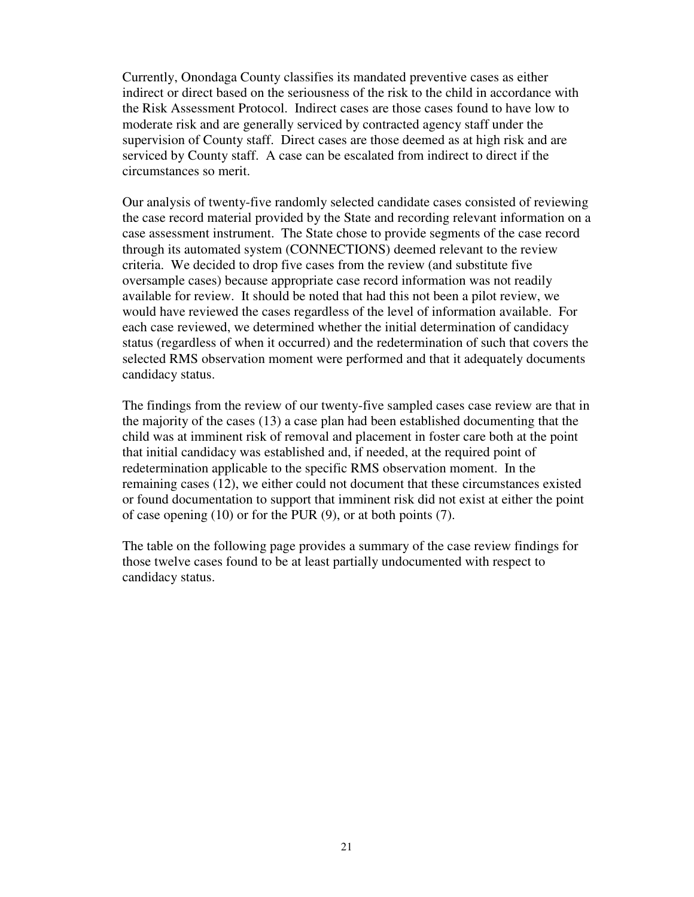Currently, Onondaga County classifies its mandated preventive cases as either indirect or direct based on the seriousness of the risk to the child in accordance with the Risk Assessment Protocol. Indirect cases are those cases found to have low to moderate risk and are generally serviced by contracted agency staff under the supervision of County staff. Direct cases are those deemed as at high risk and are serviced by County staff. A case can be escalated from indirect to direct if the circumstances so merit.

Our analysis of twenty-five randomly selected candidate cases consisted of reviewing the case record material provided by the State and recording relevant information on a case assessment instrument. The State chose to provide segments of the case record through its automated system (CONNECTIONS) deemed relevant to the review criteria. We decided to drop five cases from the review (and substitute five oversample cases) because appropriate case record information was not readily available for review. It should be noted that had this not been a pilot review, we would have reviewed the cases regardless of the level of information available. For each case reviewed, we determined whether the initial determination of candidacy status (regardless of when it occurred) and the redetermination of such that covers the selected RMS observation moment were performed and that it adequately documents candidacy status.

The findings from the review of our twenty-five sampled cases case review are that in the majority of the cases (13) a case plan had been established documenting that the child was at imminent risk of removal and placement in foster care both at the point that initial candidacy was established and, if needed, at the required point of redetermination applicable to the specific RMS observation moment. In the remaining cases (12), we either could not document that these circumstances existed or found documentation to support that imminent risk did not exist at either the point of case opening (10) or for the PUR (9), or at both points (7).

The table on the following page provides a summary of the case review findings for those twelve cases found to be at least partially undocumented with respect to candidacy status.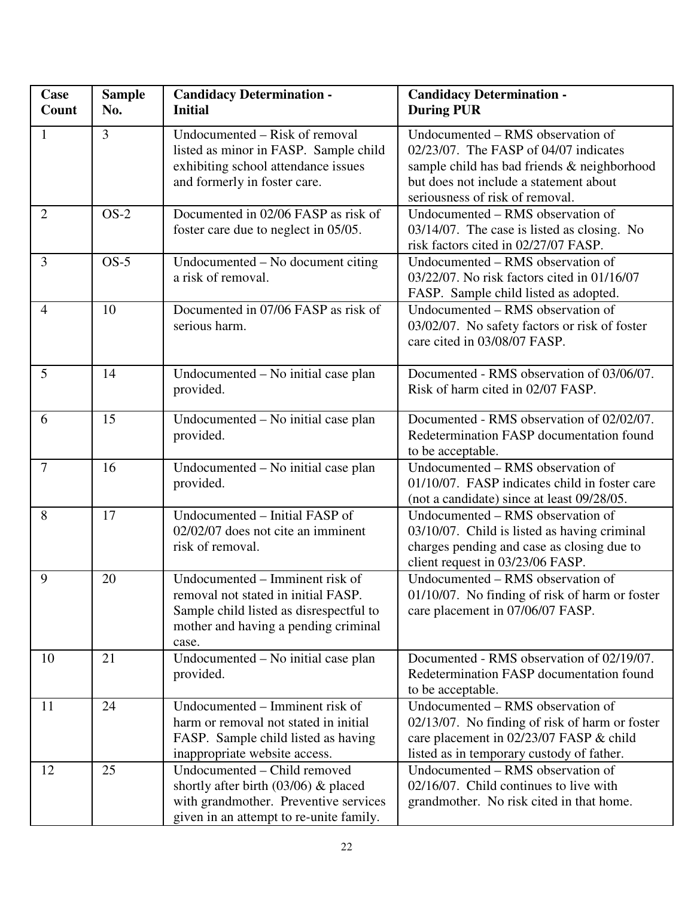| <b>Case</b><br>Count | <b>Sample</b><br>No. | <b>Candidacy Determination -</b><br><b>Initial</b>                                                                                                                 | <b>Candidacy Determination -</b><br><b>During PUR</b>                                                                                                                                                  |
|----------------------|----------------------|--------------------------------------------------------------------------------------------------------------------------------------------------------------------|--------------------------------------------------------------------------------------------------------------------------------------------------------------------------------------------------------|
| $\mathbf{1}$         | $\overline{3}$       | Undocumented - Risk of removal<br>listed as minor in FASP. Sample child<br>exhibiting school attendance issues<br>and formerly in foster care.                     | Undocumented – RMS observation of<br>02/23/07. The FASP of 04/07 indicates<br>sample child has bad friends & neighborhood<br>but does not include a statement about<br>seriousness of risk of removal. |
| $\overline{2}$       | $OS-2$               | Documented in 02/06 FASP as risk of<br>foster care due to neglect in 05/05.                                                                                        | Undocumented – RMS observation of<br>03/14/07. The case is listed as closing. No<br>risk factors cited in 02/27/07 FASP.                                                                               |
| $\overline{3}$       | $OS-5$               | Undocumented – No document citing<br>a risk of removal.                                                                                                            | Undocumented – RMS observation of<br>03/22/07. No risk factors cited in 01/16/07<br>FASP. Sample child listed as adopted.                                                                              |
| $\overline{4}$       | 10                   | Documented in 07/06 FASP as risk of<br>serious harm.                                                                                                               | Undocumented – RMS observation of<br>03/02/07. No safety factors or risk of foster<br>care cited in 03/08/07 FASP.                                                                                     |
| 5                    | 14                   | Undocumented - No initial case plan<br>provided.                                                                                                                   | Documented - RMS observation of 03/06/07.<br>Risk of harm cited in 02/07 FASP.                                                                                                                         |
| 6                    | 15                   | Undocumented - No initial case plan<br>provided.                                                                                                                   | Documented - RMS observation of 02/02/07.<br>Redetermination FASP documentation found<br>to be acceptable.                                                                                             |
| $\overline{7}$       | 16                   | Undocumented - No initial case plan<br>provided.                                                                                                                   | Undocumented – RMS observation of<br>01/10/07. FASP indicates child in foster care<br>(not a candidate) since at least 09/28/05.                                                                       |
| 8                    | 17                   | Undocumented - Initial FASP of<br>02/02/07 does not cite an imminent<br>risk of removal.                                                                           | Undocumented – RMS observation of<br>03/10/07. Child is listed as having criminal<br>charges pending and case as closing due to<br>client request in 03/23/06 FASP.                                    |
| 9                    | 20                   | Undocumented - Imminent risk of<br>removal not stated in initial FASP.<br>Sample child listed as disrespectful to<br>mother and having a pending criminal<br>case. | Undocumented - RMS observation of<br>$01/10/07$ . No finding of risk of harm or foster<br>care placement in 07/06/07 FASP.                                                                             |
| 10                   | 21                   | Undocumented – No initial case plan<br>provided.                                                                                                                   | Documented - RMS observation of 02/19/07.<br>Redetermination FASP documentation found<br>to be acceptable.                                                                                             |
| 11                   | 24                   | Undocumented – Imminent risk of<br>harm or removal not stated in initial<br>FASP. Sample child listed as having<br>inappropriate website access.                   | Undocumented - RMS observation of<br>02/13/07. No finding of risk of harm or foster<br>care placement in 02/23/07 FASP & child<br>listed as in temporary custody of father.                            |
| 12                   | 25                   | Undocumented - Child removed<br>shortly after birth $(03/06)$ & placed<br>with grandmother. Preventive services<br>given in an attempt to re-unite family.         | Undocumented - RMS observation of<br>02/16/07. Child continues to live with<br>grandmother. No risk cited in that home.                                                                                |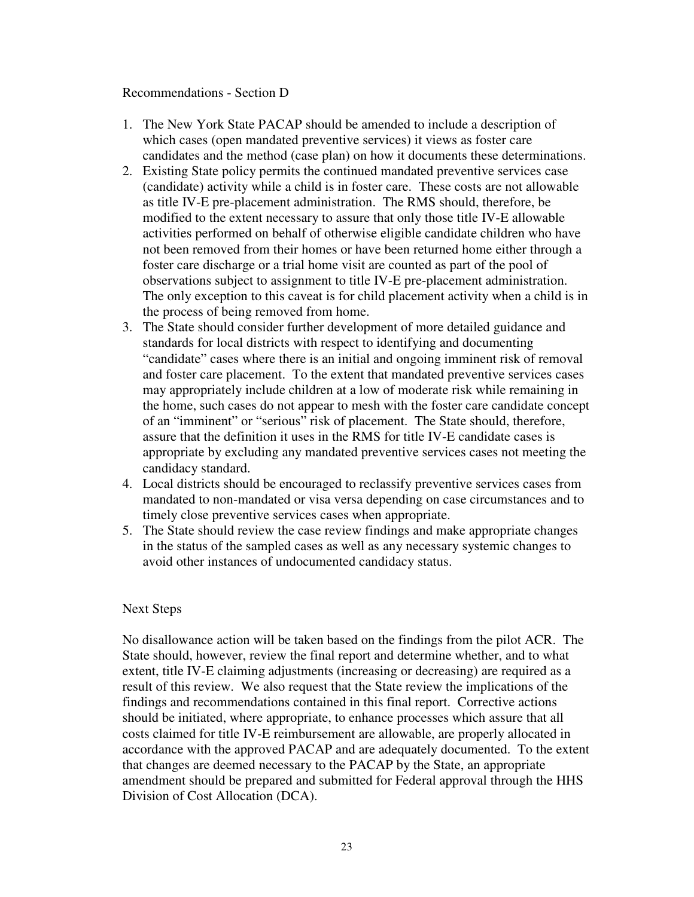Recommendations - Section D

- 1. The New York State PACAP should be amended to include a description of which cases (open mandated preventive services) it views as foster care candidates and the method (case plan) on how it documents these determinations.
- 2. Existing State policy permits the continued mandated preventive services case (candidate) activity while a child is in foster care. These costs are not allowable as title IV-E pre-placement administration. The RMS should, therefore, be modified to the extent necessary to assure that only those title IV-E allowable activities performed on behalf of otherwise eligible candidate children who have not been removed from their homes or have been returned home either through a foster care discharge or a trial home visit are counted as part of the pool of observations subject to assignment to title IV-E pre-placement administration. The only exception to this caveat is for child placement activity when a child is in the process of being removed from home.
- 3. The State should consider further development of more detailed guidance and standards for local districts with respect to identifying and documenting "candidate" cases where there is an initial and ongoing imminent risk of removal and foster care placement. To the extent that mandated preventive services cases may appropriately include children at a low of moderate risk while remaining in the home, such cases do not appear to mesh with the foster care candidate concept of an "imminent" or "serious" risk of placement. The State should, therefore, assure that the definition it uses in the RMS for title IV-E candidate cases is appropriate by excluding any mandated preventive services cases not meeting the candidacy standard.
- 4. Local districts should be encouraged to reclassify preventive services cases from mandated to non-mandated or visa versa depending on case circumstances and to timely close preventive services cases when appropriate.
- 5. The State should review the case review findings and make appropriate changes in the status of the sampled cases as well as any necessary systemic changes to avoid other instances of undocumented candidacy status.

## Next Steps

No disallowance action will be taken based on the findings from the pilot ACR. The State should, however, review the final report and determine whether, and to what extent, title IV-E claiming adjustments (increasing or decreasing) are required as a result of this review. We also request that the State review the implications of the findings and recommendations contained in this final report. Corrective actions should be initiated, where appropriate, to enhance processes which assure that all costs claimed for title IV-E reimbursement are allowable, are properly allocated in accordance with the approved PACAP and are adequately documented. To the extent that changes are deemed necessary to the PACAP by the State, an appropriate amendment should be prepared and submitted for Federal approval through the HHS Division of Cost Allocation (DCA).